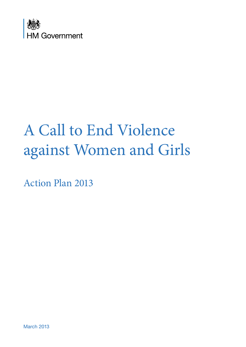

# A Call to End Violence against Women and Girls

Action Plan 2013

March 2013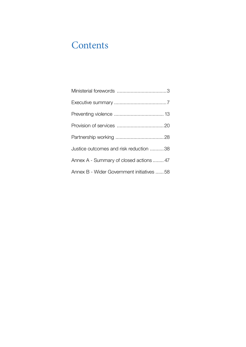## **Contents**

| Justice outcomes and risk reduction 38    |
|-------------------------------------------|
| Annex A - Summary of closed actions  47   |
| Annex B - Wider Government initiatives 58 |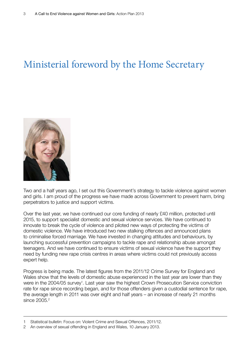## Ministerial foreword by the Home Secretary



Two and a half years ago, I set out this Government's strategy to tackle violence against women and girls. I am proud of the progress we have made across Government to prevent harm, bring perpetrators to justice and support victims.

Over the last year, we have continued our core funding of nearly £40 million, protected until 2015, to support specialist domestic and sexual violence services. We have continued to innovate to break the cycle of violence and piloted new ways of protecting the victims of domestic violence. We have introduced two new stalking offences and announced plans to criminalise forced marriage. We have invested in changing attitudes and behaviours, by launching successful prevention campaigns to tackle rape and relationship abuse amongst teenagers. And we have continued to ensure victims of sexual violence have the support they need by funding new rape crisis centres in areas where victims could not previously access expert help.

Progress is being made. The latest figures from the 2011/12 Crime Survey for England and Wales show that the levels of domestic abuse experienced in the last year are lower than they were in the 2004/05 survey<sup>1</sup>. Last year saw the highest Crown Prosecution Service conviction rate for rape since recording began, and for those offenders given a custodial sentence for rape, the average length in 2011 was over eight and half years – an increase of nearly 21 months since 2005.<sup>2</sup>

<sup>1</sup> Statistical bulletin: Focus on: Violent Crime and Sexual Offences, 2011/12.

<sup>2</sup> An overview of sexual offending in England and Wales, 10 January 2013.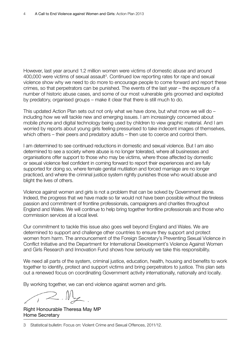However, last year around 1.2 million women were victims of domestic abuse and around 400,000 were victims of sexual assault<sup>3</sup>. Continued low reporting rates for rape and sexual violence show why we need to do more to encourage people to come forward and report these crimes, so that perpetrators can be punished. The events of the last year – the exposure of a number of historic abuse cases, and some of our most vulnerable girls groomed and exploited by predatory, organised groups – make it clear that there is still much to do.

This updated Action Plan sets out not only what we have done, but what more we will do – including how we will tackle new and emerging issues. I am increasingly concerned about mobile phone and digital technology being used by children to view graphic material. And I am worried by reports about young girls feeling pressurised to take indecent images of themselves, which others – their peers and predatory adults – then use to coerce and control them.

I am determined to see continued reductions in domestic and sexual violence. But I am also determined to see a society where abuse is no longer tolerated, where all businesses and organisations offer support to those who may be victims, where those affected by domestic or sexual violence feel confident in coming forward to report their experiences and are fully supported for doing so, where female genital mutilation and forced marriage are no longer practiced, and where the criminal justice system rightly punishes those who would abuse and blight the lives of others.

Violence against women and girls is not a problem that can be solved by Government alone. Indeed, the progress that we have made so far would not have been possible without the tireless passion and commitment of frontline professionals, campaigners and charities throughout England and Wales. We will continue to help bring together frontline professionals and those who commission services at a local level.

Our commitment to tackle this issue also goes well beyond England and Wales. We are determined to support and challenge other countries to ensure they support and protect women from harm. The announcement of the Foreign Secretary's Preventing Sexual Violence in Conflict Initiative and the Department for International Development's Violence Against Women and Girls Research and Innovation Fund shows how seriously we take this responsibility.

We need all parts of the system, criminal justice, education, health, housing and benefits to work together to identify, protect and support victims and bring perpetrators to justice. This plan sets out a renewed focus on coordinating Government activity internationally, nationally and locally.

By working together, we can end violence against women and girls.

Right Honourable Theresa May MP Home Secretary

<sup>3</sup> Statistical bulletin: Focus on: Violent Crime and Sexual Offences, 2011/12.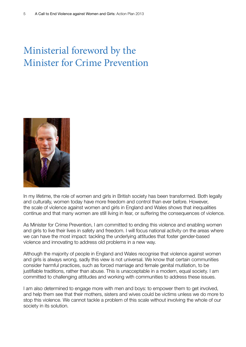# Ministerial foreword by the Minister for Crime Prevention



In my lifetime, the role of women and girls in British society has been transformed. Both legally and culturally, women today have more freedom and control than ever before. However, the scale of violence against women and girls in England and Wales shows that inequalities continue and that many women are still living in fear, or suffering the consequences of violence.

As Minister for Crime Prevention, I am committed to ending this violence and enabling women and girls to live their lives in safety and freedom. I will focus national activity on the areas where we can have the most impact: tackling the underlying attitudes that foster gender-based violence and innovating to address old problems in a new way.

Although the majority of people in England and Wales recognise that violence against women and girls is always wrong, sadly this view is not universal. We know that certain communities consider harmful practices, such as forced marriage and female genital mutilation, to be justifiable traditions, rather than abuse. This is unacceptable in a modern, equal society. I am committed to challenging attitudes and working with communities to address these issues.

I am also determined to engage more with men and boys: to empower them to get involved, and help them see that their mothers, sisters and wives could be victims unless we do more to stop this violence. We cannot tackle a problem of this scale without involving the whole of our society in its solution.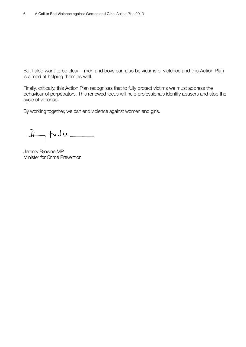But I also want to be clear – men and boys can also be victims of violence and this Action Plan is aimed at helping them as well.

Finally, critically, this Action Plan recognises that to fully protect victims we must address the behaviour of perpetrators. This renewed focus will help professionals identify abusers and stop the cycle of violence.

By working together, we can end violence against women and girls.

 $J_{\longleftarrow}$  to  $J_{\longleftarrow}$ 

Jeremy Browne MP Minister for Crime Prevention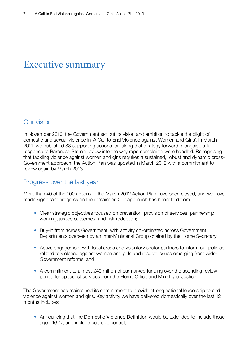### Executive summary

#### Our vision

In November 2010, the Government set out its vision and ambition to tackle the blight of domestic and sexual violence in 'A Call to End Violence against Women and Girls'. In March 2011, we published 88 supporting actions for taking that strategy forward, alongside a full response to Baroness Stern's review into the way rape complaints were handled. Recognising that tackling violence against women and girls requires a sustained, robust and dynamic cross-Government approach, the Action Plan was updated in March 2012 with a commitment to review again by March 2013.

#### Progress over the last year

More than 40 of the 100 actions in the March 2012 Action Plan have been closed, and we have made significant progress on the remainder. Our approach has benefitted from:

- Clear strategic objectives focused on prevention, provision of services, partnership working, justice outcomes, and risk reduction;
- Buy-in from across Government, with activity co-ordinated across Government Departments overseen by an Inter-Ministerial Group chaired by the Home Secretary;
- Active engagement with local areas and voluntary sector partners to inform our policies related to violence against women and girls and resolve issues emerging from wider Government reforms; and
- A commitment to almost £40 million of earmarked funding over the spending review period for specialist services from the Home Office and Ministry of Justice.

The Government has maintained its commitment to provide strong national leadership to end violence against women and girls. Key activity we have delivered domestically over the last 12 months includes:

• Announcing that the Domestic Violence Definition would be extended to include those aged 16-17, and include coercive control;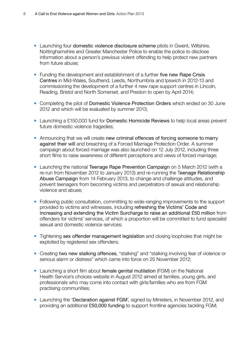- Launching four domestic violence disclosure scheme pilots in Gwent, Wiltshire, Nottinghamshire and Greater Manchester Police to enable the police to disclose information about a person's previous violent offending to help protect new partners from future abuse;
- Funding the development and establishment of a further five new Rape Crisis Centres in Mid-Wales, Southend, Leeds, Northumbria and Ipswich in 2012-13 and commissioning the development of a further 4 new rape support centres in Lincoln, Reading, Bristol and North Somerset, and Preston to open by April 2014;
- Completing the pilot of Domestic Violence Protection Orders which ended on 30 June 2012 and which will be evaluated by summer 2013;
- Launching a £150,000 fund for Domestic Homicide Reviews to help local areas prevent future domestic violence tragedies;
- Announcing that we will create new criminal offences of forcing someone to marry against their will and breaching of a Forced Marriage Protection Order. A summer campaign about forced marriage was also launched on 12 July 2012, including three short films to raise awareness of different perceptions and views of forced marriage;
- Launching the national Teenage Rape Prevention Campaign on 5 March 2012 (with a re-run from November 2012 to January 2013) and re-running the Teenage Relationship Abuse Campaign from 14 February 2013, to change and challenge attitudes, and prevent teenagers from becoming victims and perpetrators of sexual and relationship violence and abuse;
- Following public consultation, committing to wide-ranging improvements to the support provided to victims and witnesses, including refreshing the Victims' Code and increasing and extending the Victim Surcharge to raise an additional £50 million from offenders for victims' services, of which a proportion will be committed to fund specialist sexual and domestic violence services;
- Tightening sex offender management legislation and closing loopholes that might be exploited by registered sex offenders;
- Creating two new stalking offences, "stalking" and "stalking involving fear of violence or serious alarm or distress" which came into force on 25 November 2012;
- Launching a short film about female genital mutilation (FGM) on the National Health Service's choices website in August 2012 aimed at families, young girls, and professionals who may come into contact with girls/families who are from FGM practising communities;
- Launching the 'Declaration against FGM', signed by Ministers, in November 2012, and providing an additional £50,000 funding to support frontline agencies tackling FGM;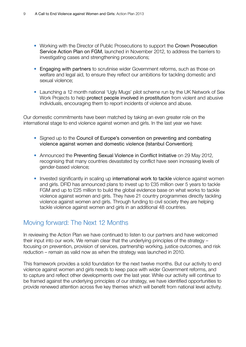- Working with the Director of Public Prosecutions to support the Crown Prosecution Service Action Plan on FGM, launched in November 2012, to address the barriers to investigating cases and strengthening prosecutions;
- Engaging with partners to scrutinise wider Government reforms, such as those on welfare and legal aid, to ensure they reflect our ambitions for tackling domestic and sexual violence;
- Launching a 12 month national 'Ugly Mugs' pilot scheme run by the UK Network of Sex Work Projects to help protect people involved in prostitution from violent and abusive individuals, encouraging them to report incidents of violence and abuse.

Our domestic commitments have been matched by taking an even greater role on the international stage to end violence against women and girls. In the last year we have:

- Signed up to the Council of Europe's convention on preventing and combating violence against women and domestic violence (Istanbul Convention);
- Announced the Preventing Sexual Violence in Conflict Initiative on 29 May 2012, recognising that many countries devastated by conflict have seen increasing levels of gender-based violence;
- Invested significantly in scaling up international work to tackle violence against women and girls. DFID has announced plans to invest up to £35 million over 5 years to tackle FGM and up to £25 million to build the global evidence base on what works to tackle violence against women and girls. They have 21 country programmes directly tackling violence against women and girls. Through funding to civil society they are helping tackle violence against women and girls in an additional 48 countries.

#### Moving forward: The Next 12 Months

In reviewing the Action Plan we have continued to listen to our partners and have welcomed their input into our work. We remain clear that the underlying principles of the strategy – focusing on prevention, provision of services, partnership working, justice outcomes, and risk reduction – remain as valid now as when the strategy was launched in 2010.

This framework provides a solid foundation for the next twelve months. But our activity to end violence against women and girls needs to keep pace with wider Government reforms, and to capture and reflect other developments over the last year. While our activity will continue to be framed against the underlying principles of our strategy, we have identified opportunities to provide renewed attention across five key themes which will benefit from national level activity.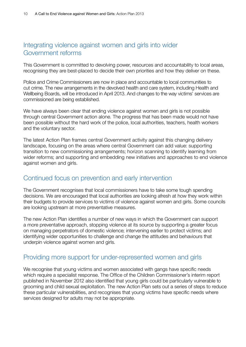#### Integrating violence against women and girls into wider Government reforms

This Government is committed to devolving power, resources and accountability to local areas, recognising they are best-placed to decide their own priorities and how they deliver on these.

Police and Crime Commissioners are now in place and accountable to local communities to cut crime. The new arrangements in the devolved health and care system, including Health and Wellbeing Boards, will be introduced in April 2013. And changes to the way victims' services are commissioned are being established.

We have always been clear that ending violence against women and girls is not possible through central Government action alone. The progress that has been made would not have been possible without the hard work of the police, local authorities, teachers, health workers and the voluntary sector.

The latest Action Plan frames central Government activity against this changing delivery landscape, focusing on the areas where central Government can add value: supporting transition to new commissioning arrangements; horizon scanning to identify learning from wider reforms; and supporting and embedding new initiatives and approaches to end violence against women and girls.

#### Continued focus on prevention and early intervention

The Government recognises that local commissioners have to take some tough spending decisions. We are encouraged that local authorities are looking afresh at how they work within their budgets to provide services to victims of violence against women and girls. Some councils are looking upstream at more preventative measures.

The new Action Plan identifies a number of new ways in which the Government can support a more preventative approach, stopping violence at its source by supporting a greater focus on managing perpetrators of domestic violence; intervening earlier to protect victims; and identifying wider opportunities to challenge and change the attitudes and behaviours that underpin violence against women and girls.

#### Providing more support for under-represented women and girls

We recognise that young victims and women associated with gangs have specific needs which require a specialist response. The Office of the Children Commissioner's interim report published in November 2012 also identified that young girls could be particularly vulnerable to grooming and child sexual exploitation. The new Action Plan sets out a series of steps to reduce these particular vulnerabilities, and recognises that young victims have specific needs where services designed for adults may not be appropriate.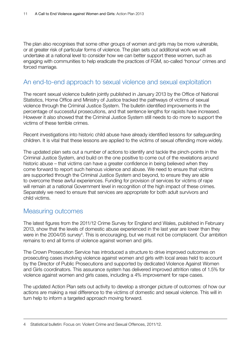The plan also recognises that some other groups of women and girls may be more vulnerable, or at greater risk of particular forms of violence. The plan sets out additional work we will undertake at a national level to consider how we can better support these women, such as engaging with communities to help eradicate the practices of FGM, so-called 'honour' crimes and forced marriage.

#### An end-to-end approach to sexual violence and sexual exploitation

The recent sexual violence bulletin jointly published in January 2013 by the Office of National Statistics, Home Office and Ministry of Justice tracked the pathways of victims of sexual violence through the Criminal Justice System. The bulletin identified improvements in the percentage of successful prosecutions, and that sentence lengths for rapists have increased. However it also showed that the Criminal Justice System still needs to do more to support the victims of these terrible crimes.

Recent investigations into historic child abuse have already identified lessons for safeguarding children. It is vital that these lessons are applied to the victims of sexual offending more widely.

The updated plan sets out a number of actions to identify and tackle the pinch-points in the Criminal Justice System, and build on the one positive to come out of the revelations around historic abuse – that victims can have a greater confidence in being believed when they come forward to report such heinous violence and abuse. We need to ensure that victims are supported through the Criminal Justice System and beyond, to ensure they are able to overcome these awful experiences. Funding for provision of services for victims of rape will remain at a national Government level in recognition of the high impact of these crimes. Separately we need to ensure that services are appropriate for both adult survivors and child victims.

#### Measuring outcomes

The latest figures from the 2011/12 Crime Survey for England and Wales, published in February 2013, show that the levels of domestic abuse experienced in the last year are lower than they were in the 2004/05 survey<sup>4</sup>. This is encouraging, but we must not be complacent. Our ambition remains to end all forms of violence against women and girls.

The Crown Prosecution Service has introduced a structure to drive improved outcomes on prosecuting cases involving violence against women and girls with local areas held to account by the Director of Public Prosecutions and supported by dedicated Violence Against Women and Girls coordinators. This assurance system has delivered improved attrition rates of 1.5% for violence against women and girls cases, including a 4% improvement for rape cases.

The updated Action Plan sets out activity to develop a stronger picture of outcomes: of how our actions are making a real difference to the victims of domestic and sexual violence. This will in turn help to inform a targeted approach moving forward.

<sup>4</sup> Statistical bulletin: Focus on: Violent Crime and Sexual Offences, 2011/12.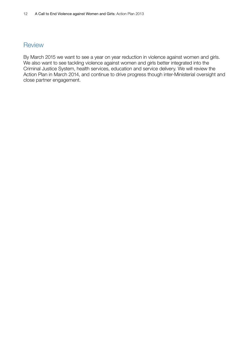#### **Review**

By March 2015 we want to see a year on year reduction in violence against women and girls. We also want to see tackling violence against women and girls better integrated into the Criminal Justice System, health services, education and service delivery. We will review the Action Plan in March 2014, and continue to drive progress though inter-Ministerial oversight and close partner engagement.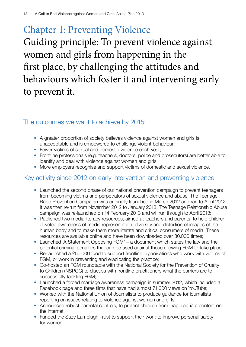# Chapter 1: Preventing Violence Guiding principle: To prevent violence against women and girls from happening in the first place, by challenging the attitudes and behaviours which foster it and intervening early to prevent it.

#### The outcomes we want to achieve by 2015:

- A greater proportion of society believes violence against women and girls is unacceptable and is empowered to challenge violent behaviour;
- Fewer victims of sexual and domestic violence each year;
- Frontline professionals (e.g. teachers, doctors, police and prosecutors) are better able to identify and deal with violence against women and girls;
- More employers recognise and support victims of domestic and sexual violence.

#### Key activity since 2012 on early intervention and preventing violence:

- Launched the second phase of our national prevention campaign to prevent teenagers from becoming victims and perpetrators of sexual violence and abuse. The Teenage Rape Prevention Campaign was originally launched in March 2012 and ran to April 2012. It was then re-run from November 2012 to January 2013. The Teenage Relationship Abuse campaign was re-launched on 14 February 2013 and will run through to April 2013;
- Published two media literacy resources, aimed at teachers and parents, to help children develop awareness of media representation, diversity and distortion of images of the human body and to make them more literate and critical consumers of media. These resources are available online and have been downloaded over 30,000 times;
- Launched 'A Statement Opposing FGM' a document which states the law and the potential criminal penalties that can be used against those allowing FGM to take place;
- Re-launched a £50,000 fund to support frontline organisations who work with victims of FGM, or work in preventing and eradicating the practice;
- Co-hosted an FGM roundtable with the National Society for the Prevention of Cruelty to Children (NSPCC) to discuss with frontline practitioners what the barriers are to successfully tackling FGM;
- Launched a forced marriage awareness campaign in summer 2012, which included a Facebook page and three films that have had almost 71,000 views on YouTube;
- Worked with the National Union of Journalists to produce guidance for journalists reporting on issues relating to violence against women and girls;
- Announced robust parental controls, to protect children from inappropriate content on the internet;
- Funded the Suzy Lamplugh Trust to support their work to improve personal safety for women.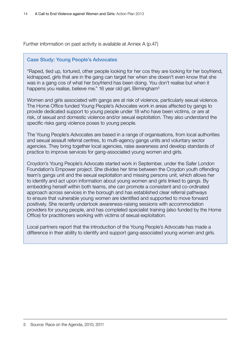Further information on past activity is available at Annex A (p.47)

#### Case Study: Young People's Advocates

"Raped, tied up, tortured, other people looking for her cos they are looking for her boyfriend, kidnapped, girls that are in the gang can target her when she doesn't even know that she was in a gang cos of what her boyfriend has been doing. You don't realise but when it happens you realise, believe me." 16 year old girl, Birmingham<sup>5</sup>

Women and girls associated with gangs are at risk of violence, particularly sexual violence. The Home Office funded Young People's Advocates work in areas affected by gangs to provide dedicated support to young people under 18 who have been victims, or are at risk, of sexual and domestic violence and/or sexual exploitation. They also understand the specific risks gang violence poses to young people.

The Young People's Advocates are based in a range of organisations, from local authorities and sexual assault referral centres, to multi-agency gangs units and voluntary sector agencies. They bring together local agencies, raise awareness and develop standards of practice to improve services for gang-associated young women and girls.

Croydon's Young People's Advocate started work in September, under the Safer London Foundation's Empower project. She divides her time between the Croydon youth offending team's gangs unit and the sexual exploitation and missing persons unit, which allows her to identify and act upon information about young women and girls linked to gangs. By embedding herself within both teams, she can promote a consistent and co-ordinated approach across services in the borough and has established clear referral pathways to ensure that vulnerable young women are identified and supported to move forward positively. She recently undertook awareness-raising sessions with accommodation providers for young people, and has completed specialist training (also funded by the Home Office) for practitioners working with victims of sexual exploitation.

Local partners report that the introduction of the Young People's Advocate has made a difference in their ability to identify and support gang-associated young women and girls.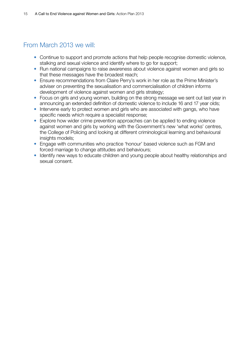#### From March 2013 we will:

- Continue to support and promote actions that help people recognise domestic violence, stalking and sexual violence and identify where to go for support;
- Run national campaigns to raise awareness about violence against women and girls so that these messages have the broadest reach;
- Ensure recommendations from Claire Perry's work in her role as the Prime Minister's adviser on preventing the sexualisation and commercialisation of children informs development of violence against women and girls strategy;
- Focus on girls and young women, building on the strong message we sent out last year in announcing an extended definition of domestic violence to include 16 and 17 year olds;
- Intervene early to protect women and girls who are associated with gangs, who have specific needs which require a specialist response;
- Explore how wider crime prevention approaches can be applied to ending violence against women and girls by working with the Government's new 'what works' centres, the College of Policing and looking at different criminological learning and behavioural insights models:
- Engage with communities who practice 'honour' based violence such as FGM and forced marriage to change attitudes and behaviours;
- Identify new ways to educate children and young people about healthy relationships and sexual consent.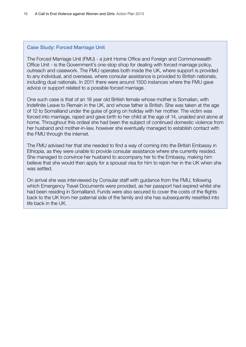#### Case Study: Forced Marriage Unit

The Forced Marriage Unit (FMU) - a joint Home Office and Foreign and Commonwealth Office Unit - is the Government's one-stop shop for dealing with forced marriage policy, outreach and casework. The FMU operates both inside the UK, where support is provided to any individual, and overseas, where consular assistance is provided to British nationals, including dual nationals. In 2011 there were around 1500 instances where the FMU gave advice or support related to a possible forced marriage.

One such case is that of an 18 year old British female whose mother is Somalian, with Indefinite Leave to Remain in the UK, and whose father is British. She was taken at the age of 12 to Somaliland under the guise of going on holiday with her mother. The victim was forced into marriage, raped and gave birth to her child at the age of 14, unaided and alone at home. Throughout this ordeal she had been the subject of continued domestic violence from her husband and mother-in-law, however she eventually managed to establish contact with the FMU through the internet.

The FMU advised her that she needed to find a way of coming into the British Embassy in Ethiopia, as they were unable to provide consular assistance where she currently resided. She managed to convince her husband to accompany her to the Embassy, making him believe that she would then apply for a spousal visa for him to rejoin her in the UK when she was settled.

On arrival she was interviewed by Consular staff with guidance from the FMU, following which Emergency Travel Documents were provided, as her passport had expired whilst she had been residing in Somaliland. Funds were also secured to cover the costs of the flights back to the UK from her paternal side of the family and she has subsequently resettled into life back in the UK.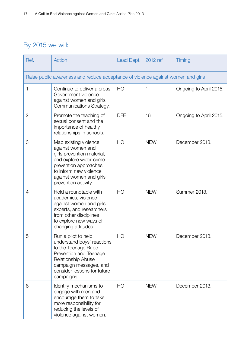### By 2015 we will:

| Ref.           | Action                                                                                                                                                                                                    | Lead Dept.     | 2012 ref.  | Timing                 |  |  |  |  |
|----------------|-----------------------------------------------------------------------------------------------------------------------------------------------------------------------------------------------------------|----------------|------------|------------------------|--|--|--|--|
|                | Raise public awareness and reduce acceptance of violence against women and girls                                                                                                                          |                |            |                        |  |  |  |  |
| 1              | Continue to deliver a cross-<br>Government violence<br>against women and girls<br>Communications Strategy.                                                                                                | HO             | 1          | Ongoing to April 2015. |  |  |  |  |
| $\overline{2}$ | Promote the teaching of<br>sexual consent and the<br>importance of healthy<br>relationships in schools.                                                                                                   | <b>DFE</b>     | 16         | Ongoing to April 2015. |  |  |  |  |
| 3              | Map existing violence<br>against women and<br>girls prevention material,<br>and explore wider crime<br>prevention approaches<br>to inform new violence<br>against women and girls<br>prevention activity. | HO             | <b>NEW</b> | December 2013.         |  |  |  |  |
| $\overline{4}$ | Hold a roundtable with<br>academics, violence<br>against women and girls<br>experts, and researchers<br>from other disciplines<br>to explore new ways of<br>changing attitudes.                           | H <sub>O</sub> | <b>NEW</b> | Summer 2013.           |  |  |  |  |
| 5              | Run a pilot to help<br>understand boys' reactions<br>to the Teenage Rape<br>Prevention and Teenage<br><b>Relationship Abuse</b><br>campaign messages, and<br>consider lessons for future<br>campaigns.    | HO             | <b>NEW</b> | December 2013.         |  |  |  |  |
| 6              | Identify mechanisms to<br>engage with men and<br>encourage them to take<br>more responsibility for<br>reducing the levels of<br>violence against women.                                                   | HO             | <b>NEW</b> | December 2013.         |  |  |  |  |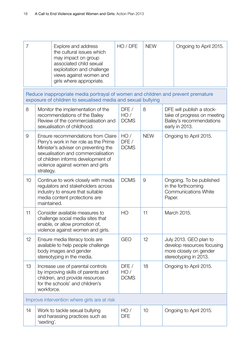| $\overline{7}$ |             | Explore and address<br>the cultural issues which<br>may impact on group<br>associated child sexual<br>exploitation and challenge<br>views against women and<br>girls where appropriate.                                              | HO / DFE                   | <b>NEW</b> | Ongoing to April 2015.                                                                                  |
|----------------|-------------|--------------------------------------------------------------------------------------------------------------------------------------------------------------------------------------------------------------------------------------|----------------------------|------------|---------------------------------------------------------------------------------------------------------|
|                |             | Reduce inappropriate media portrayal of women and children and prevent premature<br>exposure of children to sexualised media and sexual bullying                                                                                     |                            |            |                                                                                                         |
| 8              |             | Monitor the implementation of the<br>recommendations of the Bailey<br>Review of the commercialisation and<br>sexualisation of childhood.                                                                                             | DFE/<br>HO/<br><b>DCMS</b> | 8          | DFE will publish a stock-<br>take of progress on meeting<br>Bailey's recommendations<br>early in 2013.  |
| 9              | strategy.   | Ensure recommendations from Claire<br>Perry's work in her role as the Prime<br>Minister's adviser on preventing the<br>sexualisation and commercialisation<br>of children informs development of<br>violence against women and girls | HO/<br>DFE/<br><b>DCMS</b> | <b>NEW</b> | Ongoing to April 2015.                                                                                  |
| 10             | maintained. | Continue to work closely with media<br>regulators and stakeholders across<br>industry to ensure that suitable<br>media content protections are                                                                                       | <b>DCMS</b>                | 9          | Ongoing. To be published<br>in the forthcoming<br><b>Communications White</b><br>Paper.                 |
| 11             |             | Consider available measures to<br>challenge social media sites that<br>enable, or allow promotion of,<br>violence against women and girls.                                                                                           | HO                         | 11         | March 2015.                                                                                             |
| 12             |             | Ensure media literacy tools are<br>available to help people challenge<br>body images and gender<br>stereotyping in the media.                                                                                                        | <b>GEO</b>                 | 12         | July 2013. GEO plan to<br>develop resources focusing<br>more closely on gender<br>stereotyping in 2013. |
| 13             | workforce.  | Increase use of parental controls<br>by improving skills of parents and<br>children, and provide resources<br>for the schools' and children's                                                                                        | DFE/<br>HO/<br><b>DCMS</b> | 18         | Ongoing to April 2015.                                                                                  |
|                |             | Improve intervention where girls are at risk                                                                                                                                                                                         |                            |            |                                                                                                         |
| 14             | 'sexting'.  | Work to tackle sexual bullying<br>and harassing practices such as                                                                                                                                                                    | HO/<br><b>DFE</b>          | 10         | Ongoing to April 2015.                                                                                  |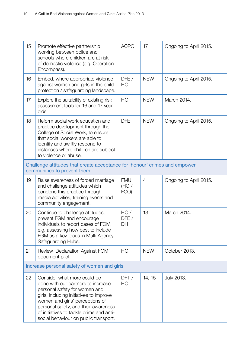| 15 | Promote effective partnership<br>working between police and<br>schools where children are at risk<br>of domestic violence (e.g. Operation<br>Encompass).                                                                                                                                                      | <b>ACPO</b>                | 17             | Ongoing to April 2015. |
|----|---------------------------------------------------------------------------------------------------------------------------------------------------------------------------------------------------------------------------------------------------------------------------------------------------------------|----------------------------|----------------|------------------------|
| 16 | Embed, where appropriate violence<br>against women and girls in the child<br>protection / safeguarding landscape.                                                                                                                                                                                             | DFE/<br>HO                 | <b>NEW</b>     | Ongoing to April 2015. |
| 17 | Explore the suitability of existing risk<br>assessment tools for 16 and 17 year<br>olds.                                                                                                                                                                                                                      | HO                         | <b>NEW</b>     | March 2014.            |
| 18 | Reform social work education and<br>practice development through the<br>College of Social Work, to ensure<br>that social workers are able to<br>identify and swiftly respond to<br>instances where children are subject<br>to violence or abuse.                                                              | <b>DFE</b>                 | <b>NEW</b>     | Ongoing to April 2015. |
|    | Challenge attitudes that create acceptance for 'honour' crimes and empower<br>communities to prevent them                                                                                                                                                                                                     |                            |                |                        |
| 19 | Raise awareness of forced marriage<br>and challenge attitudes which<br>condone this practice through<br>media activities, training events and<br>community engagement.                                                                                                                                        | <b>FMU</b><br>(HO)<br>FCO) | $\overline{4}$ | Ongoing to April 2015. |
| 20 | Continue to challenge attitudes,<br>prevent FGM and encourage<br>individuals to report cases of FGM,<br>e.g. assessing how best to include<br>FGM as a key focus in Multi Agency<br>Safeguarding Hubs.                                                                                                        | HO/<br>DFE/<br>DH          | 13             | March 2014.            |
| 21 | Review 'Declaration Against FGM'<br>document pilot.                                                                                                                                                                                                                                                           | H <sub>O</sub>             | <b>NEW</b>     | October 2013.          |
|    | Increase personal safety of women and girls                                                                                                                                                                                                                                                                   |                            |                |                        |
| 22 | Consider what more could be<br>done with our partners to increase<br>personal safety for women and<br>girls, including initiatives to improve<br>women and girls' perceptions of<br>personal safety, and their awareness<br>of initiatives to tackle crime and anti-<br>social behaviour on public transport. | DFT/<br>HO                 | 14, 15         | <b>July 2013.</b>      |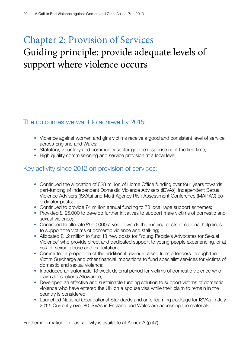# Chapter 2: Provision of Services Guiding principle: provide adequate levels of support where violence occurs

#### The outcomes we want to achieve by 2015:

- Violence against women and girls victims receive a good and consistent level of service across England and Wales;
- Statutory, voluntary and community sector get the response right the first time;
- High quality commissioning and service provision at a local level.

#### Key activity since 2012 on provision of services:

- Continued the allocation of £28 million of Home Office funding over four years towards part-funding of Independent Domestic Violence Advisers (IDVAs), Independent Sexual Violence Advisers (ISVAs) and Multi-Agency Risk Assessment Conference (MARAC) coordinator posts;
- Continued to provide £4 million annual funding to 78 local rape support schemes;
- Provided £125,000 to develop further initiatives to support male victims of domestic and sexual violence;
- Continued to allocate £900,000 a year towards the running costs of national help lines to support the victims of domestic violence and stalking;
- Allocated £1.2 million to fund 13 new posts for 'Young People's Advocates for Sexual Violence' who provide direct and dedicated support to young people experiencing, or at risk of, sexual abuse and exploitation;
- Committed a proportion of the additional revenue raised from offenders through the Victim Surcharge and other financial impositions to fund specialist services for victims of domestic and sexual violence;
- Introduced an automatic 13 week deferral period for victims of domestic violence who claim Jobseeker's Allowance;
- Developed an effective and sustainable funding solution to support victims of domestic violence who have entered the UK on a spouse visa while their claim to remain in the country is considered;
- Launched National Occupational Standards and an e-learning package for ISVAs in July 2012. Currently over 80 ISVAs in England and Wales are accessing the materials.

Further information on past activity is available at Annex A (p.47)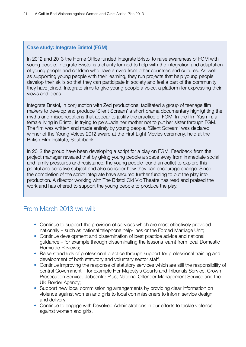#### Case study: Integrate Bristol (FGM)

In 2012 and 2013 the Home Office funded Integrate Bristol to raise awareness of FGM with young people. Integrate Bristol is a charity formed to help with the integration and adaptation of young people and children who have arrived from other countries and cultures. As well as supporting young people with their learning, they run projects that help young people develop their skills so that they can participate in society and feel a part of the community they have joined. Integrate aims to give young people a voice, a platform for expressing their views and ideas.

Integrate Bristol, in conjunction with Zed productions, facilitated a group of teenage film makers to develop and produce 'Silent Scream' a short drama documentary highlighting the myths and misconceptions that appear to justify the practice of FGM. In the film Yasmin, a female living in Bristol, is trying to persuade her mother not to put her sister through FGM. The film was written and made entirely by young people. 'Silent Scream' was declared winner of the Young Voices 2012 award at the First Light Movies ceremony, held at the British Film Institute, Southbank.

In 2012 the group have been developing a script for a play on FGM. Feedback from the project manager revealed that by giving young people a space away from immediate social and family pressures and resistance, the young people found an outlet to explore this painful and sensitive subject and also consider how they can encourage change. Since the completion of the script Integrate have secured further funding to put the play into production. A director working with The Bristol Old Vic Theatre has read and praised the work and has offered to support the young people to produce the play.

#### From March 2013 we will:

- Continue to support the provision of services which are most effectively provided nationally – such as national telephone help-lines or the Forced Marriage Unit;
- Continue development and dissemination of best practice advice and national guidance – for example through disseminating the lessons learnt from local Domestic Homicide Reviews;
- Raise standards of professional practice through support for professional training and development of both statutory and voluntary sector staff;
- Continue improving the response of statutory services which are still the responsibility of central Government – for example Her Majesty's Courts and Tribunals Service, Crown Prosecution Service, Jobcentre Plus, National Offender Management Service and the UK Border Agency;
- Support new local commissioning arrangements by providing clear information on violence against women and girls to local commissioners to inform service design and delivery;
- Continue to engage with Devolved Administrations in our efforts to tackle violence against women and girls.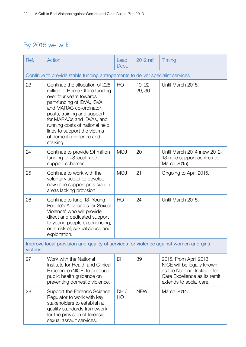### By 2015 we will:

| Ref.    | Action                                                                                                                                                                                                                                                                                                                     | Lead<br>Dept.  | 2012 ref.         | Timing                                                                                                                                           |
|---------|----------------------------------------------------------------------------------------------------------------------------------------------------------------------------------------------------------------------------------------------------------------------------------------------------------------------------|----------------|-------------------|--------------------------------------------------------------------------------------------------------------------------------------------------|
|         | Continue to provide stable funding arrangements to deliver specialist services                                                                                                                                                                                                                                             |                |                   |                                                                                                                                                  |
| 23      | Continue the allocation of £28<br>million of Home Office funding<br>over four years towards<br>part-funding of IDVA, ISVA<br>and MARAC co-ordinator<br>posts, training and support<br>for MARACs and IDVAs, and<br>running costs of national help<br>lines to support the victims<br>of domestic violence and<br>stalking. | HO             | 19, 22,<br>29, 30 | Until March 2015.                                                                                                                                |
| 24      | Continue to provide £4 million<br>funding to 78 local rape<br>support schemes.                                                                                                                                                                                                                                             | <b>MOJ</b>     | 20                | Until March 2014 (new 2012-<br>13 rape support centres to<br>March 2015).                                                                        |
| 25      | Continue to work with the<br>voluntary sector to develop<br>new rape support provision in<br>areas lacking provision.                                                                                                                                                                                                      | <b>MOJ</b>     | 21                | Ongoing to April 2015.                                                                                                                           |
| 26      | Continue to fund 13 'Young<br>People's Advocates for Sexual<br>Violence' who will provide<br>direct and dedicated support<br>to young people experiencing,<br>or at risk of, sexual abuse and<br>exploitation.                                                                                                             | H <sub>O</sub> | 24                | Until March 2015.                                                                                                                                |
| victims | Improve local provision and quality of services for violence against women and girls                                                                                                                                                                                                                                       |                |                   |                                                                                                                                                  |
| 27      | Work with the National<br>Institute for Health and Clinical<br>Excellence (NICE) to produce<br>public health guidance on<br>preventing domestic violence.                                                                                                                                                                  | <b>DH</b>      | 39                | 2015. From April 2013,<br>NICE will be legally known<br>as the National Institute for<br>Care Excellence as its remit<br>extends to social care. |
| 28      | Support the Forensic Science<br>Regulator to work with key<br>stakeholders to establish a<br>quality standards framework<br>for the provision of forensic<br>sexual assault services.                                                                                                                                      | DH/<br>HO      | <b>NEW</b>        | March 2014.                                                                                                                                      |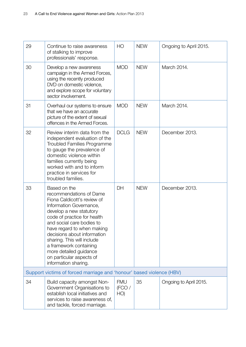| 29 | Continue to raise awareness                                                                                                                                                                                                                                                                                                                                                                 | HO                          | <b>NEW</b> | Ongoing to April 2015. |
|----|---------------------------------------------------------------------------------------------------------------------------------------------------------------------------------------------------------------------------------------------------------------------------------------------------------------------------------------------------------------------------------------------|-----------------------------|------------|------------------------|
|    | of stalking to improve<br>professionals' response.                                                                                                                                                                                                                                                                                                                                          |                             |            |                        |
| 30 | Develop a new awareness<br>campaign in the Armed Forces,<br>using the recently produced<br>DVD on domestic violence,<br>and explore scope for voluntary<br>sector involvement.                                                                                                                                                                                                              | <b>MOD</b>                  | <b>NEW</b> | March 2014.            |
| 31 | Overhaul our systems to ensure<br>that we have an accurate<br>picture of the extent of sexual<br>offences in the Armed Forces.                                                                                                                                                                                                                                                              | <b>MOD</b>                  | <b>NEW</b> | March 2014.            |
| 32 | Review interim data from the<br>independent evaluation of the<br><b>Troubled Families Programme</b><br>to gauge the prevalence of<br>domestic violence within<br>families currently being<br>worked with and to inform<br>practice in services for<br>troubled families.                                                                                                                    | <b>DCLG</b>                 | <b>NEW</b> | December 2013.         |
| 33 | Based on the<br>recommendations of Dame<br>Fiona Caldicott's review of<br>Information Governance,<br>develop a new statutory<br>code of practice for health<br>and social care bodies to<br>have regard to when making<br>decisions about information<br>sharing. This will include<br>a framework containing<br>more detailed guidance<br>on particular aspects of<br>information sharing. | DH                          | <b>NEW</b> | December 2013.         |
|    | Support victims of forced marriage and 'honour' based violence (HBV)                                                                                                                                                                                                                                                                                                                        |                             |            |                        |
| 34 | Build capacity amongst Non-<br>Government Organisations to<br>establish local initiatives and<br>services to raise awareness of,<br>and tackle, forced marriage.                                                                                                                                                                                                                            | <b>FMU</b><br>(FCO /<br>HO) | 35         | Ongoing to April 2015. |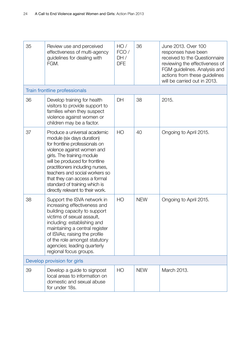| 35 | Review use and perceived<br>effectiveness of multi-agency<br>guidelines for dealing with<br>FGM.                                                                                                                                                                                                                                                                      | HO/<br>FCO/<br>DH/<br><b>DFE</b> | 36         | June 2013. Over 100<br>responses have been<br>received to the Questionnaire<br>reviewing the effectiveness of<br>FGM guidelines. Analysis and<br>actions from these guidelines<br>will be carried out in 2013. |
|----|-----------------------------------------------------------------------------------------------------------------------------------------------------------------------------------------------------------------------------------------------------------------------------------------------------------------------------------------------------------------------|----------------------------------|------------|----------------------------------------------------------------------------------------------------------------------------------------------------------------------------------------------------------------|
|    | Train frontline professionals                                                                                                                                                                                                                                                                                                                                         |                                  |            |                                                                                                                                                                                                                |
| 36 | Develop training for health<br>visitors to provide support to<br>families when they suspect<br>violence against women or<br>children may be a factor.                                                                                                                                                                                                                 | DH                               | 38         | 2015.                                                                                                                                                                                                          |
| 37 | Produce a universal academic<br>module (six days duration)<br>for frontline professionals on<br>violence against women and<br>girls. The training module<br>will be produced for frontline<br>practitioners including nurses,<br>teachers and social workers so<br>that they can access a formal<br>standard of training which is<br>directly relevant to their work. | H <sub>O</sub>                   | 40         | Ongoing to April 2015.                                                                                                                                                                                         |
| 38 | Support the ISVA network in<br>increasing effectiveness and<br>building capacity to support<br>victims of sexual assault,<br>including: establishing and<br>maintaining a central register<br>of ISVAs; raising the profile<br>of the role amongst statutory<br>agencies; leading quarterly<br>regional focus groups.                                                 | H <sub>O</sub>                   | <b>NEW</b> | Ongoing to April 2015.                                                                                                                                                                                         |
|    | Develop provision for girls                                                                                                                                                                                                                                                                                                                                           |                                  |            |                                                                                                                                                                                                                |
| 39 | Develop a guide to signpost<br>local areas to information on<br>domestic and sexual abuse<br>for under 18s.                                                                                                                                                                                                                                                           | HO                               | <b>NEW</b> | March 2013.                                                                                                                                                                                                    |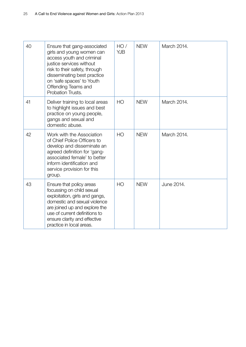| 40 | Ensure that gang-associated<br>girls and young women can<br>access youth and criminal<br>justice services without<br>risk to their safety, through<br>disseminating best practice<br>on 'safe spaces' to Youth<br>Offending Teams and<br>Probation Trusts. | HO/<br><b>YJB</b> | <b>NEW</b> | March 2014. |
|----|------------------------------------------------------------------------------------------------------------------------------------------------------------------------------------------------------------------------------------------------------------|-------------------|------------|-------------|
| 41 | Deliver training to local areas<br>to highlight issues and best<br>practice on young people,<br>gangs and sexual and<br>domestic abuse.                                                                                                                    | H <sub>O</sub>    | <b>NEW</b> | March 2014. |
| 42 | Work with the Association<br>of Chief Police Officers to<br>develop and disseminate an<br>agreed definition for 'gang-<br>associated female' to better<br>inform identification and<br>service provision for this<br>group.                                | H <sub>O</sub>    | <b>NEW</b> | March 2014. |
| 43 | Ensure that policy areas<br>focussing on child sexual<br>exploitation, girls and gangs,<br>domestic and sexual violence<br>are joined up and explore the<br>use of current definitions to<br>ensure clarity and effective<br>practice in local areas.      | H <sub>O</sub>    | <b>NEW</b> | June 2014.  |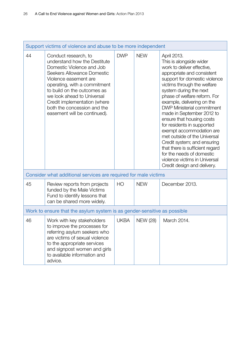| Support victims of violence and abuse to be more independent |                                                                                                                                                                                                                                                                                                                                      |                |                 |                                                                                                                                                                                                                                                                                                                                                                                                                                                                                                                                                                                                                    |
|--------------------------------------------------------------|--------------------------------------------------------------------------------------------------------------------------------------------------------------------------------------------------------------------------------------------------------------------------------------------------------------------------------------|----------------|-----------------|--------------------------------------------------------------------------------------------------------------------------------------------------------------------------------------------------------------------------------------------------------------------------------------------------------------------------------------------------------------------------------------------------------------------------------------------------------------------------------------------------------------------------------------------------------------------------------------------------------------------|
| 44                                                           | Conduct research, to<br>understand how the Destitute<br>Domestic Violence and Job<br>Seekers Allowance Domestic<br>Violence easement are<br>operating, with a commitment<br>to build on the outcomes as<br>we look ahead to Universal<br>Credit implementation (where<br>both the concession and the<br>easement will be continued). | <b>DWP</b>     | <b>NEW</b>      | April 2013.<br>This is alongside wider<br>work to deliver effective,<br>appropriate and consistent<br>support for domestic violence<br>victims through the welfare<br>system during the next<br>phase of welfare reform. For<br>example, delivering on the<br><b>DWP Ministerial commitment</b><br>made in September 2012 to<br>ensure that housing costs<br>for residents in supported<br>exempt accommodation are<br>met outside of the Universal<br>Credit system; and ensuring<br>that there is sufficient regard<br>for the needs of domestic<br>violence victims in Universal<br>Credit design and delivery. |
|                                                              | Consider what additional services are required for male victims                                                                                                                                                                                                                                                                      |                |                 |                                                                                                                                                                                                                                                                                                                                                                                                                                                                                                                                                                                                                    |
| 45                                                           | Review reports from projects<br>funded by the Male Victims<br>Fund to identify lessons that<br>can be shared more widely.                                                                                                                                                                                                            | H <sub>O</sub> | <b>NEW</b>      | December 2013.                                                                                                                                                                                                                                                                                                                                                                                                                                                                                                                                                                                                     |
|                                                              | Work to ensure that the asylum system is as gender-sensitive as possible                                                                                                                                                                                                                                                             |                |                 |                                                                                                                                                                                                                                                                                                                                                                                                                                                                                                                                                                                                                    |
| 46                                                           | Work with key stakeholders<br>to improve the processes for<br>referring asylum seekers who<br>are victims of sexual violence<br>to the appropriate services<br>and signpost women and girls<br>to available information and<br>advice.                                                                                               | <b>UKBA</b>    | <b>NEW (28)</b> | March 2014.                                                                                                                                                                                                                                                                                                                                                                                                                                                                                                                                                                                                        |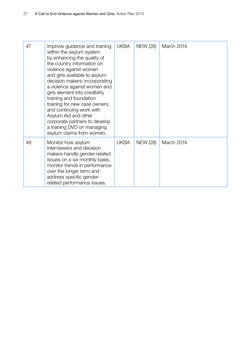| 47 | Improve guidance and training<br>within the asylum system<br>by enhancing the quality of<br>the country information on<br>violence against women<br>and girls available to asylum<br>decision makers; incorporating<br>a violence against women and<br>girls element into credibility<br>training and foundation<br>training for new case owners;<br>and continuing work with<br>Asylum Aid and other<br>corporate partners to develop<br>a training DVD on managing<br>asylum claims from women. | <b>UKBA</b> | <b>NEW (28)</b> | March 2014. |
|----|---------------------------------------------------------------------------------------------------------------------------------------------------------------------------------------------------------------------------------------------------------------------------------------------------------------------------------------------------------------------------------------------------------------------------------------------------------------------------------------------------|-------------|-----------------|-------------|
| 48 | Monitor how asylum<br>interviewers and decision<br>makers handle gender-related<br>issues on a six monthly basis,<br>monitor trends in performance<br>over the longer term and<br>address specific gender-<br>related performance issues.                                                                                                                                                                                                                                                         | <b>UKBA</b> | <b>NEW (28)</b> | March 2014. |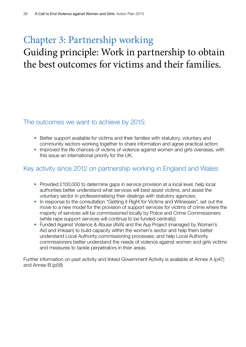# Chapter 3: Partnership working Guiding principle: Work in partnership to obtain the best outcomes for victims and their families.

#### The outcomes we want to achieve by 2015:

- Better support available for victims and their families with statutory, voluntary and community sectors working together to share information and agree practical action;
- Improved the life chances of victims of violence against women and girls overseas, with this issue an international priority for the UK.

#### Key activity since 2012 on partnership working in England and Wales:

- Provided £100,000 to determine gaps in service provision at a local level, help local authorities better understand what services will best assist victims, and assist the voluntary sector in professionalising their dealings with statutory agencies;
- In response to the consultation "Getting it Right for Victims and Witnesses", set out the move to a new model for the provision of support services for victims of crime where the majority of services will be commissioned locally by Police and Crime Commissioners (while rape support services will continue to be funded centrally);
- Funded Against Violence & Abuse (AVA) and the Aya Project (managed by Women's Aid and Imkaan) to build capacity within the women's sector and help them better understand Local Authority commissioning processes; and help Local Authority commissioners better understand the needs of violence against women and girls victims and measures to tackle perpetrators in their areas.

Further information on past activity and linked Government Activity is available at Annex A (p47) and Annex B (p58)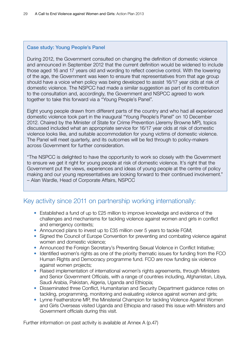#### Case study: Young People's Panel

During 2012, the Government consulted on changing the definition of domestic violence and announced in September 2012 that the current definition would be widened to include those aged 16 and 17 years old and wording to reflect coercive control. With the lowering of the age, the Government was keen to ensure that representatives from that age group should have a voice when policy was being developed to assist 16/17 year olds at risk of domestic violence. The NSPCC had made a similar suggestion as part of its contribution to the consultation and, accordingly, the Government and NSPCC agreed to work together to take this forward via a "Young People's Panel".

Eight young people drawn from different parts of the country and who had all experienced domestic violence took part in the inaugural "Young People's Panel" on 10 December 2012. Chaired by the Minister of State for Crime Prevention (Jeremy Browne MP), topics discussed included what an appropriate service for 16/17 year olds at risk of domestic violence looks like, and suitable accommodation for young victims of domestic violence. The Panel will meet quarterly, and its outcomes will be fed through to policy-makers across Government for further consideration.

"The NSPCC is delighted to have the opportunity to work so closely with the Government to ensure we get it right for young people at risk of domestic violence. It's right that the Government put the views, experiences and ideas of young people at the centre of policy making and our young representatives are looking forward to their continued involvement." – Alan Wardle, Head of Corporate Affairs, NSPCC

#### Key activity since 2011 on partnership working internationally:

- Established a fund of up to £25 million to improve knowledge and evidence of the challenges and mechanisms for tackling violence against women and girls in conflict and emergency contexts;
- Announced plans to invest up to £35 million over 5 years to tackle FGM;
- Signed the Council of Europe Convention for preventing and combating violence against women and domestic violence;
- Announced the Foreign Secretary's Preventing Sexual Violence in Conflict Initiative;
- Identified women's rights as one of the priority thematic issues for funding from the FCO Human Rights and Democracy programme fund. FCO are now funding six violence against women projects;
- Raised implementation of international women's rights agreements, through Ministers and Senior Government Officials, with a range of countries including, Afghanistan, Libya, Saudi Arabia, Pakistan, Algeria, Uganda and Ethiopia;
- Disseminated three Conflict, Humanitarian and Security Department guidance notes on tackling, programming, monitoring and evaluating violence against women and girls;
- Lynne Featherstone MP, the Ministerial Champion for tackling Violence Against Women and Girls Overseas visited Uganda and Ethiopia and raised this issue with Ministers and Government officials during this visit.

Further information on past activity is available at Annex A (p.47)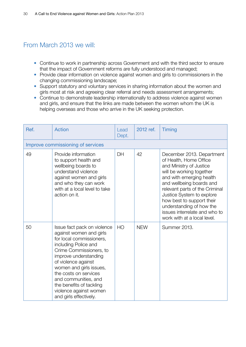#### From March 2013 we will:

- Continue to work in partnership across Government and with the third sector to ensure that the impact of Government reforms are fully understood and managed;
- Provide clear information on violence against women and girls to commissioners in the changing commissioning landscape;
- Support statutory and voluntary services in sharing information about the women and girls most at risk and agreeing clear referral and needs assessment arrangements;
- Continue to demonstrate leadership internationally to address violence against women and girls, and ensure that the links are made between the women whom the UK is helping overseas and those who arrive in the UK seeking protection.

| Ref. | <b>Action</b>                                                                                                                                                                                                                                                                                                                                     | Lead<br>Dept. | 2012 ref.  | Timing                                                                                                                                                                                                                                                                                                                                                     |
|------|---------------------------------------------------------------------------------------------------------------------------------------------------------------------------------------------------------------------------------------------------------------------------------------------------------------------------------------------------|---------------|------------|------------------------------------------------------------------------------------------------------------------------------------------------------------------------------------------------------------------------------------------------------------------------------------------------------------------------------------------------------------|
|      | Improve commissioning of services                                                                                                                                                                                                                                                                                                                 |               |            |                                                                                                                                                                                                                                                                                                                                                            |
| 49   | Provide information<br>to support health and<br>wellbeing boards to<br>understand violence<br>against women and girls<br>and who they can work<br>with at a local level to take<br>action on it.                                                                                                                                                  | DH            | 42         | December 2013. Department<br>of Health, Home Office<br>and Ministry of Justice<br>will be working together<br>and with emerging health<br>and wellbeing boards and<br>relevant parts of the Criminal<br>Justice System to explore<br>how best to support their<br>understanding of how the<br>issues interrelate and who to<br>work with at a local level. |
| 50   | Issue fact pack on violence<br>against women and girls<br>for local commissioners,<br>including Police and<br>Crime Commissioners, to<br>improve understanding<br>of violence against<br>women and girls issues,<br>the costs on services<br>and communities, and<br>the benefits of tackling<br>violence against women<br>and girls effectively. | HO            | <b>NEW</b> | <b>Summer 2013.</b>                                                                                                                                                                                                                                                                                                                                        |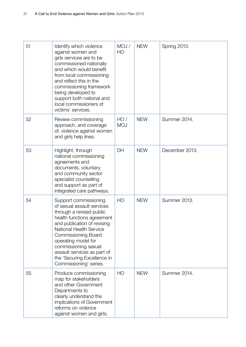| 51 | Identify which violence<br>against women and<br>girls services are to be<br>commissioned nationally<br>and which would benefit<br>from local commissioning<br>and reflect this in the<br>commissioning framework<br>being developed to<br>support both national and<br>local commissioners of<br>victims' services.                                 | MOJ /<br>HO       | <b>NEW</b> | <b>Spring 2013.</b> |
|----|-----------------------------------------------------------------------------------------------------------------------------------------------------------------------------------------------------------------------------------------------------------------------------------------------------------------------------------------------------|-------------------|------------|---------------------|
| 52 | Review commissioning<br>approach, and coverage<br>of, violence against women<br>and girls help lines.                                                                                                                                                                                                                                               | HO/<br><b>MOJ</b> | <b>NEW</b> | Summer 2014.        |
| 53 | Highlight, through<br>national commissioning<br>agreements and<br>documents, voluntary<br>and community sector<br>specialist counselling<br>and support as part of<br>integrated care pathways.                                                                                                                                                     | DH                | <b>NEW</b> | December 2013.      |
| 54 | Support commissioning<br>of sexual assault services<br>through a revised public<br>health functions agreement<br>and publication of revising<br><b>National Health Service</b><br><b>Commissioning Board</b><br>operating model for<br>commissioning sexual<br>assault services as part of<br>the 'Securing Excellence in<br>Commissioning' series. | HO                | <b>NEW</b> | Summer 2013.        |
| 55 | Produce commissioning<br>map for stakeholders<br>and other Government<br>Departments to<br>clearly understand the<br>implications of Government<br>reforms on violence<br>against women and girls.                                                                                                                                                  | HO                | <b>NEW</b> | Summer 2014.        |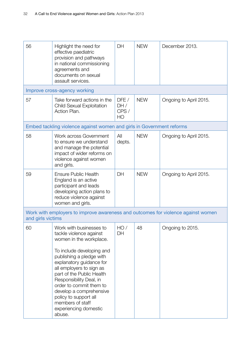| 56                | Highlight the need for<br>effective paediatric<br>provision and pathways<br>in national commissioning<br>agreements and<br>documents on sexual<br>assault services.<br>Improve cross-agency working                                                                                                                                                                                          | DH                                     | <b>NEW</b> | December 2013.         |
|-------------------|----------------------------------------------------------------------------------------------------------------------------------------------------------------------------------------------------------------------------------------------------------------------------------------------------------------------------------------------------------------------------------------------|----------------------------------------|------------|------------------------|
| 57                | Take forward actions in the<br><b>Child Sexual Exploitation</b><br>Action Plan.                                                                                                                                                                                                                                                                                                              | DEFE/<br>DH/<br>CPS/<br>H <sub>O</sub> | <b>NEW</b> | Ongoing to April 2015. |
|                   | Embed tackling violence against women and girls in Government reforms                                                                                                                                                                                                                                                                                                                        |                                        |            |                        |
| 58                | Work across Government<br>to ensure we understand<br>and manage the potential<br>impact of wider reforms on<br>violence against women<br>and girls.                                                                                                                                                                                                                                          | All<br>depts.                          | <b>NEW</b> | Ongoing to April 2015. |
| 59                | <b>Ensure Public Health</b><br>England is an active<br>participant and leads<br>developing action plans to<br>reduce violence against<br>women and girls.                                                                                                                                                                                                                                    | DH                                     | <b>NEW</b> | Ongoing to April 2015. |
| and girls victims | Work with employers to improve awareness and outcomes for violence against women                                                                                                                                                                                                                                                                                                             |                                        |            |                        |
| 60                | Work with businesses to<br>tackle violence against<br>women in the workplace.<br>To include developing and<br>publishing a pledge with<br>explanatory guidance for<br>all employers to sign as<br>part of the Public Health<br>Responsibility Deal, in<br>order to commit them to<br>develop a comprehensive<br>policy to support all<br>members of staff<br>experiencing domestic<br>abuse. | HO/<br>DH                              | 48         | Ongoing to 2015.       |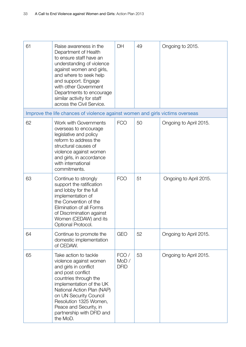| 61 | Raise awareness in the<br>Department of Health<br>to ensure staff have an<br>understanding of violence<br>against women and girls,<br>and where to seek help<br>and support. Engage<br>with other Government<br>Departments to encourage<br>similar activity for staff<br>across the Civil Service.     | DH                           | 49 | Ongoing to 2015.       |
|----|---------------------------------------------------------------------------------------------------------------------------------------------------------------------------------------------------------------------------------------------------------------------------------------------------------|------------------------------|----|------------------------|
|    | Improve the life chances of violence against women and girls victims overseas                                                                                                                                                                                                                           |                              |    |                        |
| 62 | Work with Governments<br>overseas to encourage<br>legislative and policy<br>reform to address the<br>structural causes of<br>violence against women<br>and girls, in accordance<br>with international<br>commitments.                                                                                   | <b>FCO</b>                   | 50 | Ongoing to April 2015. |
| 63 | Continue to strongly<br>support the ratification<br>and lobby for the full<br>implementation of<br>the Convention of the<br>Elimination of all Forms<br>of Discrimination against<br>Women (CEDAW) and its<br>Optional Protocol.                                                                        | <b>FCO</b>                   | 51 | Ongoing to April 2015. |
| 64 | Continue to promote the<br>domestic implementation<br>of CEDAW.                                                                                                                                                                                                                                         | GEO                          | 52 | Ongoing to April 2015. |
| 65 | Take action to tackle<br>violence against women<br>and girls in conflict<br>and post conflict<br>countries through the<br>implementation of the UK<br>National Action Plan (NAP)<br>on UN Security Council<br>Resolution 1325 Women,<br>Peace and Security, in<br>partnership with DFID and<br>the MoD. | FCO/<br>MOD /<br><b>DFID</b> | 53 | Ongoing to April 2015. |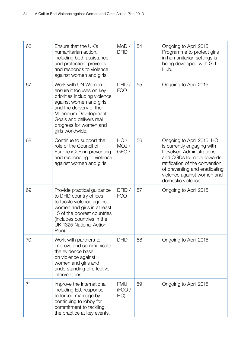| 66 | Ensure that the UK's<br>humanitarian action,<br>including both assistance<br>and protection, prevents<br>and responds to violence<br>against women and girls.                                                                               | MOD /<br><b>DFID</b>       | 54 | Ongoing to April 2015.<br>Programme to protect girls<br>in humanitarian settings is<br>being developed with Girl<br>Hub.                                                                                                                      |
|----|---------------------------------------------------------------------------------------------------------------------------------------------------------------------------------------------------------------------------------------------|----------------------------|----|-----------------------------------------------------------------------------------------------------------------------------------------------------------------------------------------------------------------------------------------------|
| 67 | Work with UN Women to<br>ensure it focuses on key<br>priorities including violence<br>against women and girls<br>and the delivery of the<br>Millennium Development<br>Goals and delivers real<br>progress for women and<br>girls worldwide. | DFID /<br><b>FCO</b>       | 55 | Ongoing to April 2015.                                                                                                                                                                                                                        |
| 68 | Continue to support the<br>role of the Council of<br>Europe (CoE) in preventing<br>and responding to violence<br>against women and girls.                                                                                                   | HO/<br>MOJ /<br>GEO /      | 56 | Ongoing to April 2015. HO<br>is currently engaging with<br><b>Devolved Administrations</b><br>and OGDs to move towards<br>ratification of the convention<br>of preventing and eradicating<br>violence against women and<br>domestic violence. |
| 69 | Provide practical guidance<br>to DFID country offices<br>to tackle violence against<br>women and girls in at least<br>15 of the poorest countries<br>(includes countries in the<br>UK 1325 National Action<br>Plan).                        | DFID /<br><b>FCO</b>       | 57 | Ongoing to April 2015.                                                                                                                                                                                                                        |
| 70 | Work with partners to<br>improve and communicate<br>the evidence base<br>on violence against<br>women and girls and<br>understanding of effective<br>interventions.                                                                         | <b>DFID</b>                | 58 | Ongoing to April 2015.                                                                                                                                                                                                                        |
| 71 | Improve the international,<br>including EU, response<br>to forced marriage by<br>continuing to lobby for<br>commitment to tackling<br>the practice at key events.                                                                           | <b>FMU</b><br>(FCO/<br>HO) | 59 | Ongoing to April 2015.                                                                                                                                                                                                                        |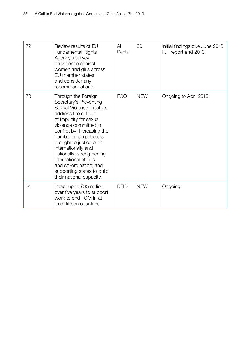| 72 | Review results of EU<br><b>Fundamental Rights</b><br>Agency's survey<br>on violence against<br>women and girls across<br>EU member states<br>and consider any<br>recommendations.                                                                                                                                                                                                                           | All<br>Depts. | 60         | Initial findings due June 2013.<br>Full report end 2013. |
|----|-------------------------------------------------------------------------------------------------------------------------------------------------------------------------------------------------------------------------------------------------------------------------------------------------------------------------------------------------------------------------------------------------------------|---------------|------------|----------------------------------------------------------|
| 73 | Through the Foreign<br>Secretary's Preventing<br>Sexual Violence Initiative,<br>address the culture<br>of impunity for sexual<br>violence committed in<br>conflict by: increasing the<br>number of perpetrators<br>brought to justice both<br>internationally and<br>nationally; strengthening<br>international efforts<br>and co-ordination; and<br>supporting states to build<br>their national capacity. | <b>FCO</b>    | <b>NEW</b> | Ongoing to April 2015.                                   |
| 74 | Invest up to £35 million<br>over five years to support<br>work to end FGM in at<br>least fifteen countries.                                                                                                                                                                                                                                                                                                 | <b>DFID</b>   | <b>NEW</b> | Ongoing.                                                 |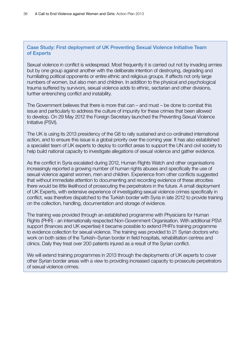#### Case Study: First deployment of UK Preventing Sexual Violence Initiative Team of Experts

Sexual violence in conflict is widespread. Most frequently it is carried out not by invading armies but by one group against another with the deliberate intention of destroying, degrading and humiliating political opponents or entire ethnic and religious groups. If affects not only large numbers of women, but also men and children. In addition to the physical and psychological trauma suffered by survivors, sexual violence adds to ethnic, sectarian and other divisions, further entrenching conflict and instability.

The Government believes that there is more that can – and must – be done to combat this issue and particularly to address the culture of impunity for these crimes that been allowed to develop. On 29 May 2012 the Foreign Secretary launched the Preventing Sexual Violence Initiative (PSVI).

The UK is using its 2013 presidency of the G8 to rally sustained and co-ordinated international action, and to ensure this issue is a global priority over the coming year. It has also established a specialist team of UK experts to deploy to conflict areas to support the UN and civil society to help build national capacity to investigate allegations of sexual violence and gather evidence.

As the conflict in Syria escalated during 2012, Human Rights Watch and other organisations increasingly reported a growing number of human rights abuses and specifically the use of sexual violence against women, men and children. Experience from other conflicts suggested that without immediate attention to documenting and recording evidence of these atrocities there would be little likelihood of prosecuting the perpetrators in the future. A small deployment of UK Experts, with extensive experience of investigating sexual violence crimes specifically in conflict, was therefore dispatched to the Turkish border with Syria in late 2012 to provide training on the collection, handling, documentation and storage of evidence.

The training was provided through an established programme with Physicians for Human Rights (PHR) - an internationally respected Non-Government Organisation. With additional PSVI support (finances and UK expertise) it became possible to extend PHR's training programme to evidence collection for sexual violence. The training was provided to 21 Syrian doctors who work on both sides of the Turkish–Syrian border in field hospitals, rehabilitation centres and clinics. Daily they treat over 200 patients injured as a result of the Syrian conflict.

We will extend training programmes in 2013 through the deployments of UK experts to cover other Syrian border areas with a view to providing increased capacity to prosecute perpetrators of sexual violence crimes.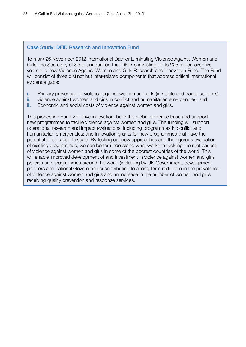#### Case Study: DFID Research and Innovation Fund

To mark 25 November 2012 International Day for Eliminating Violence Against Women and Girls, the Secretary of State announced that DFID is investing up to £25 million over five years in a new Violence Against Women and Girls Research and Innovation Fund. The Fund will consist of three distinct but inter-related components that address critical international evidence gaps:

- i. Primary prevention of violence against women and girls (in stable and fragile contexts);
- ii. violence against women and girls in conflict and humanitarian emergencies; and
- iii. Economic and social costs of violence against women and girls.

This pioneering Fund will drive innovation, build the global evidence base and support new programmes to tackle violence against women and girls. The funding will support operational research and impact evaluations, including programmes in conflict and humanitarian emergencies; and innovation grants for new programmes that have the potential to be taken to scale. By testing out new approaches and the rigorous evaluation of existing programmes, we can better understand what works in tackling the root causes of violence against women and girls in some of the poorest countries of the world. This will enable improved development of and investment in violence against women and girls policies and programmes around the world (including by UK Government, development partners and national Governments) contributing to a long-term reduction in the prevalence of violence against women and girls and an increase in the number of women and girls receiving quality prevention and response services.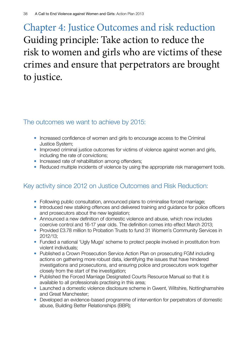# Chapter 4: Justice Outcomes and risk reduction Guiding principle: Take action to reduce the risk to women and girls who are victims of these crimes and ensure that perpetrators are brought to justice.

#### The outcomes we want to achieve by 2015:

- Increased confidence of women and girls to encourage access to the Criminal Justice System;
- Improved criminal justice outcomes for victims of violence against women and girls, including the rate of convictions;
- Increased rate of rehabilitation among offenders;
- Reduced multiple incidents of violence by using the appropriate risk management tools.

### Key activity since 2012 on Justice Outcomes and Risk Reduction:

- Following public consultation, announced plans to criminalise forced marriage;
- Introduced new stalking offences and delivered training and guidance for police officers and prosecutors about the new legislation;
- Announced a new definition of domestic violence and abuse, which now includes coercive control and 16-17 year olds. The definition comes into effect March 2013;
- Provided £3.78 million to Probation Trusts to fund 31 Women's Community Services in 2012/13;
- Funded a national 'Ugly Mugs' scheme to protect people involved in prostitution from violent individuals;
- Published a Crown Prosecution Service Action Plan on prosecuting FGM including actions on gathering more robust data, identifying the issues that have hindered investigations and prosecutions, and ensuring police and prosecutors work together closely from the start of the investigation;
- Published the Forced Marriage Designated Courts Resource Manual so that it is available to all professionals practising in this area;
- Launched a domestic violence disclosure scheme in Gwent, Wiltshire, Nottinghamshire and Great Manchester;
- Developed an evidence-based programme of intervention for perpetrators of domestic abuse, Building Better Relationships (BBR);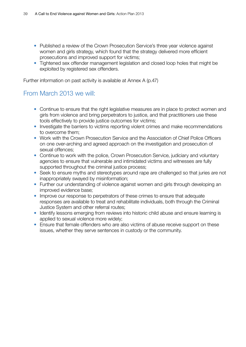- Published a review of the Crown Prosecution Service's three year violence against women and girls strategy, which found that the strategy delivered more efficient prosecutions and improved support for victims;
- Tightened sex offender management legislation and closed loop holes that might be exploited by registered sex offenders.

Further information on past activity is available at Annex A (p.47)

#### From March 2013 we will:

- Continue to ensure that the right legislative measures are in place to protect women and girls from violence and bring perpetrators to justice, and that practitioners use these tools effectively to provide justice outcomes for victims;
- Investigate the barriers to victims reporting violent crimes and make recommendations to overcome them;
- Work with the Crown Prosecution Service and the Association of Chief Police Officers on one over-arching and agreed approach on the investigation and prosecution of sexual offences;
- Continue to work with the police, Crown Prosecution Service, judiciary and voluntary agencies to ensure that vulnerable and intimidated victims and witnesses are fully supported throughout the criminal justice process;
- Seek to ensure myths and stereotypes around rape are challenged so that juries are not inappropriately swayed by misinformation;
- Further our understanding of violence against women and girls through developing an improved evidence base;
- Improve our response to perpetrators of these crimes to ensure that adequate responses are available to treat and rehabilitate individuals, both through the Criminal Justice System and other referral routes;
- Identify lessons emerging from reviews into historic child abuse and ensure learning is applied to sexual violence more widely;
- Ensure that female offenders who are also victims of abuse receive support on these issues, whether they serve sentences in custody or the community.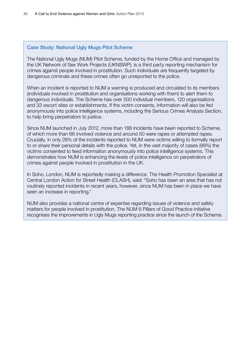#### Case Study: National Ugly Mugs Pilot Scheme

The National Ugly Mugs (NUM) Pilot Scheme, funded by the Home Office and managed by the UK Network of Sex Work Projects (UKNSWP), is a third party reporting mechanism for crimes against people involved in prostitution. Such individuals are frequently targeted by dangerous criminals and these crimes often go unreported to the police.

When an incident is reported to NUM a warning is produced and circulated to its members (individuals involved in prostitution and organisations working with them) to alert them to dangerous individuals. The Scheme has over 500 individual members, 120 organisations and 33 escort sites or establishments. If the victim consents, information will also be fed anonymously into police intelligence systems, including the Serious Crimes Analysis Section, to help bring perpetrators to justice.

Since NUM launched in July 2012, more than 188 incidents have been reported to Scheme, of which more than 66 involved violence and around 50 were rapes or attempted rapes. Crucially, in only 28% of the incidents reported to NUM were victims willing to formally report to or share their personal details with the police. Yet, in the vast majority of cases (99%) the victims consented to feed information anonymously into police intelligence systems. This demonstrates how NUM is enhancing the levels of police intelligence on perpetrators of crimes against people involved in prostitution in the UK.

In Soho, London, NUM is reportedly making a difference. The Health Promotion Specialist at Central London Action for Street Health (CLASH), said: "Soho has been an area that has not routinely reported incidents in recent years, however, since NUM has been in place we have seen an increase in reporting."

NUM also provides a national centre of expertise regarding issues of violence and safety matters for people involved in prostitution. The NUM 6 Pillars of Good Practice initiative recognises the improvements in Ugly Mugs reporting practice since the launch of the Scheme.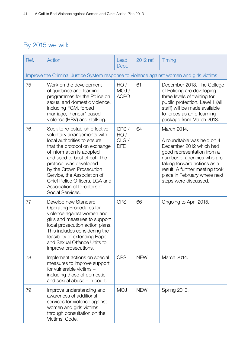### By 2015 we will:

| Ref. | Action                                                                                                                                                                                                                                                                                                                                                               | Lead<br>Dept.                     | 2012 ref.  | Timing                                                                                                                                                                                                                                                     |
|------|----------------------------------------------------------------------------------------------------------------------------------------------------------------------------------------------------------------------------------------------------------------------------------------------------------------------------------------------------------------------|-----------------------------------|------------|------------------------------------------------------------------------------------------------------------------------------------------------------------------------------------------------------------------------------------------------------------|
|      | Improve the Criminal Justice System response to violence against women and girls victims                                                                                                                                                                                                                                                                             |                                   |            |                                                                                                                                                                                                                                                            |
| 75   | Work on the development<br>of guidance and learning<br>programmes for the Police on<br>sexual and domestic violence,<br>including FGM, forced<br>marriage, 'honour' based<br>violence (HBV) and stalking.                                                                                                                                                            | HO/<br>MOJ /<br><b>ACPO</b>       | 61         | December 2013. The College<br>of Policing are developing<br>three levels of training for<br>public protection. Level 1 (all<br>staff) will be made available<br>to forces as an e-learning<br>package from March 2013.                                     |
| 76   | Seek to re-establish effective<br>voluntary arrangements with<br>local authorities to ensure<br>that the protocol on exchange<br>of information is adopted<br>and used to best effect. The<br>protocol was developed<br>by the Crown Prosecution<br>Service, the Association of<br>Chief Police Officers, LGA and<br>Association of Directors of<br>Social Services. | CPS/<br>HO/<br>CLG/<br><b>DFE</b> | 64         | March 2014.<br>A roundtable was held on 4<br>December 2012 which had<br>good representation from a<br>number of agencies who are<br>taking forward actions as a<br>result. A further meeting took<br>place in February where next<br>steps were discussed. |
| 77   | Develop new Standard<br>Operating Procedures for<br>violence against women and<br>girls and measures to support<br>local prosecution action plans.<br>This includes considering the<br>feasibility of extending Rape<br>and Sexual Offence Units to<br>improve prosecutions.                                                                                         | <b>CPS</b>                        | 66         | Ongoing to April 2015.                                                                                                                                                                                                                                     |
| 78   | Implement actions on special<br>measures to improve support<br>for vulnerable victims -<br>including those of domestic<br>and sexual abuse – in court.                                                                                                                                                                                                               | <b>CPS</b>                        | <b>NEW</b> | March 2014.                                                                                                                                                                                                                                                |
| 79   | Improve understanding and<br>awareness of additional<br>services for violence against<br>women and girls victims<br>through consultation on the<br>Victims' Code.                                                                                                                                                                                                    | <b>MOJ</b>                        | <b>NEW</b> | Spring 2013.                                                                                                                                                                                                                                               |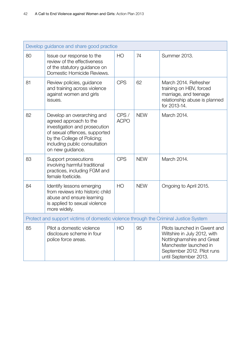|                                                                                      | Develop guidance and share good practice                                                                                                                                                                   |                     |            |                                                                                                                                                                            |
|--------------------------------------------------------------------------------------|------------------------------------------------------------------------------------------------------------------------------------------------------------------------------------------------------------|---------------------|------------|----------------------------------------------------------------------------------------------------------------------------------------------------------------------------|
| 80                                                                                   | Issue our response to the<br>review of the effectiveness<br>of the statutory guidance on<br>Domestic Homicide Reviews.                                                                                     | H <sub>O</sub>      | 74         | <b>Summer 2013.</b>                                                                                                                                                        |
| 81                                                                                   | Review policies, guidance<br>and training across violence<br>against women and girls<br>issues.                                                                                                            | <b>CPS</b>          | 62         | March 2014. Refresher<br>training on HBV, forced<br>marriage, and teenage<br>relationship abuse is planned<br>for 2013-14.                                                 |
| 82                                                                                   | Develop an overarching and<br>agreed approach to the<br>investigation and prosecution<br>of sexual offences, supported<br>by the College of Policing;<br>including public consultation<br>on new guidance. | CPS/<br><b>ACPO</b> | <b>NEW</b> | March 2014.                                                                                                                                                                |
| 83                                                                                   | Support prosecutions<br>involving harmful traditional<br>practices, including FGM and<br>female foeticide.                                                                                                 | <b>CPS</b>          | <b>NEW</b> | March 2014.                                                                                                                                                                |
| 84                                                                                   | Identify lessons emerging<br>from reviews into historic child<br>abuse and ensure learning<br>is applied to sexual violence<br>more widely.                                                                | H <sub>O</sub>      | <b>NEW</b> | Ongoing to April 2015.                                                                                                                                                     |
| Protect and support victims of domestic violence through the Criminal Justice System |                                                                                                                                                                                                            |                     |            |                                                                                                                                                                            |
| 85                                                                                   | Pilot a domestic violence<br>disclosure scheme in four<br>police force areas.                                                                                                                              | HO                  | 95         | Pilots launched in Gwent and<br>Wiltshire in July 2012, with<br>Nottinghamshire and Great<br>Manchester launched in<br>September 2012. Pilot runs<br>until September 2013. |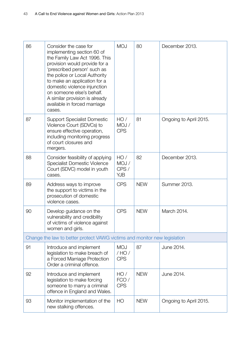| 86 | Consider the case for<br>implementing section 60 of<br>the Family Law Act 1996. This<br>provision would provide for a<br>'prescribed person' such as<br>the police or Local Authority<br>to make an application for a<br>domestic violence injunction<br>on someone else's behalf.<br>A similar provision is already<br>available in forced marriage<br>cases. | <b>MOJ</b>                         | 80         | December 2013.         |
|----|----------------------------------------------------------------------------------------------------------------------------------------------------------------------------------------------------------------------------------------------------------------------------------------------------------------------------------------------------------------|------------------------------------|------------|------------------------|
| 87 | <b>Support Specialist Domestic</b><br>Violence Court (SDVCs) to<br>ensure effective operation,<br>including monitoring progress<br>of court closures and<br>mergers.                                                                                                                                                                                           | HO/<br>MOJ /<br><b>CPS</b>         | 81         | Ongoing to April 2015. |
| 88 | Consider feasibility of applying<br><b>Specialist Domestic Violence</b><br>Court (SDVC) model in youth<br>cases.                                                                                                                                                                                                                                               | HO/<br>MOJ /<br>CPS/<br><b>YJB</b> | 82         | December 2013.         |
| 89 | Address ways to improve<br>the support to victims in the<br>prosecution of domestic<br>violence cases.                                                                                                                                                                                                                                                         | <b>CPS</b>                         | <b>NEW</b> | Summer 2013.           |
| 90 | Develop guidance on the<br>vulnerability and credibility<br>of victims of violence against<br>women and girls.                                                                                                                                                                                                                                                 | <b>CPS</b>                         | <b>NEW</b> | March 2014.            |
|    | Change the law to better protect VAWG victims and monitor new legislation                                                                                                                                                                                                                                                                                      |                                    |            |                        |
| 91 | Introduce and implement<br>legislation to make breach of<br>a Forced Marriage Protection<br>Order a criminal offence.                                                                                                                                                                                                                                          | <b>MOJ</b><br>/HO/<br><b>CPS</b>   | 87         | June 2014.             |
| 92 | Introduce and implement<br>legislation to make forcing<br>someone to marry a criminal<br>offence in England and Wales.                                                                                                                                                                                                                                         | HO/<br>FCO/<br><b>CPS</b>          | <b>NEW</b> | June 2014.             |
| 93 | Monitor implementation of the<br>new stalking offences.                                                                                                                                                                                                                                                                                                        | HO                                 | <b>NEW</b> | Ongoing to April 2015. |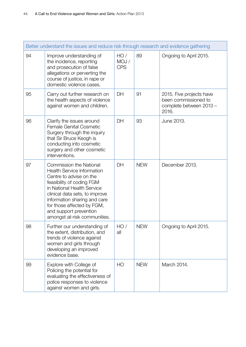|    | Better understand the issues and reduce risk through research and evidence gathering                                                                                                                                                                                                                                |                            |            |                                                                                      |
|----|---------------------------------------------------------------------------------------------------------------------------------------------------------------------------------------------------------------------------------------------------------------------------------------------------------------------|----------------------------|------------|--------------------------------------------------------------------------------------|
| 94 | Improve understanding of<br>the incidence, reporting<br>and prosecution of false<br>allegations or perverting the<br>course of justice, in rape or<br>domestic violence cases.                                                                                                                                      | HO/<br>MOJ /<br><b>CPS</b> | 89         | Ongoing to April 2015.                                                               |
| 95 | Carry out further research on<br>the health aspects of violence<br>against women and children.                                                                                                                                                                                                                      | DH                         | 91         | 2015. Five projects have<br>been commissioned to<br>complete between 2013 -<br>2016. |
| 96 | Clarify the issues around<br><b>Female Genital Cosmetic</b><br>Surgery through the inquiry<br>that Sir Bruce Keogh is<br>conducting into cosmetic<br>surgery and other cosmetic<br>interventions.                                                                                                                   | DH                         | 93         | June 2013.                                                                           |
| 97 | <b>Commission the National</b><br><b>Health Service Information</b><br>Centre to advise on the<br>feasibility of coding FGM<br>in National Health Service<br>clinical data sets, to improve<br>information sharing and care<br>for those affected by FGM,<br>and support prevention<br>amongst at-risk communities. | DH                         | <b>NEW</b> | December 2013.                                                                       |
| 98 | Further our understanding of<br>the extent, distribution, and<br>trends of violence against<br>women and girls through<br>developing an improved<br>evidence base.                                                                                                                                                  | HO/<br>all                 | <b>NEW</b> | Ongoing to April 2015.                                                               |
| 99 | Explore with College of<br>Policing the potential for<br>evaluating the effectiveness of<br>police responses to violence<br>against women and girls.                                                                                                                                                                | HO                         | <b>NEW</b> | March 2014.                                                                          |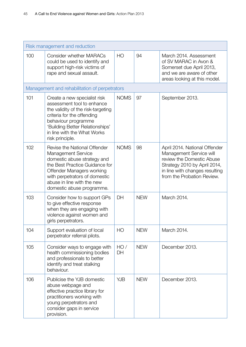|     | Risk management and reduction                                                                                                                                                                                                                       |                |            |                                                                                                                                                                                       |
|-----|-----------------------------------------------------------------------------------------------------------------------------------------------------------------------------------------------------------------------------------------------------|----------------|------------|---------------------------------------------------------------------------------------------------------------------------------------------------------------------------------------|
| 100 | <b>Consider whether MARACs</b><br>could be used to identify and<br>support high-risk victims of<br>rape and sexual assault.                                                                                                                         | H <sub>O</sub> | 94         | March 2014, Assessment<br>of SV MARAC in Avon &<br>Somerset due April 2013,<br>and we are aware of other<br>areas looking at this model.                                              |
|     | Management and rehabilitation of perpetrators                                                                                                                                                                                                       |                |            |                                                                                                                                                                                       |
| 101 | Create a new specialist risk<br>assessment tool to enhance<br>the validity of the risk-targeting<br>criteria for the offending<br>behaviour programme<br>'Building Better Relationships'<br>in line with the What Works<br>risk principle.          | <b>NOMS</b>    | 97         | September 2013.                                                                                                                                                                       |
| 102 | Revise the National Offender<br><b>Management Service</b><br>domestic abuse strategy and<br>the Best Practice Guidance for<br>Offender Managers working<br>with perpetrators of domestic<br>abuse in line with the new<br>domestic abuse programme. | <b>NOMS</b>    | 98         | April 2014. National Offender<br>Management Service will<br>review the Domestic Abuse<br>Strategy 2010 by April 2014,<br>in line with changes resulting<br>from the Probation Review. |
| 103 | Consider how to support GPs<br>to give effective response<br>when they are engaging with<br>violence against women and<br>girls perpetrators.                                                                                                       | DH             | <b>NEW</b> | March 2014.                                                                                                                                                                           |
| 104 | Support evaluation of local<br>perpetrator referral pilots.                                                                                                                                                                                         | H <sub>O</sub> | <b>NEW</b> | March 2014.                                                                                                                                                                           |
| 105 | Consider ways to engage with<br>health commissioning bodies<br>and professionals to better<br>identify and treat stalking<br>behaviour.                                                                                                             | HO/<br>DH      | <b>NEW</b> | December 2013.                                                                                                                                                                        |
| 106 | Publicise the YJB domestic<br>abuse webpage and<br>effective practice library for<br>practitioners working with<br>young perpetrators and<br>consider gaps in service<br>provision.                                                                 | <b>YJB</b>     | <b>NEW</b> | December 2013.                                                                                                                                                                        |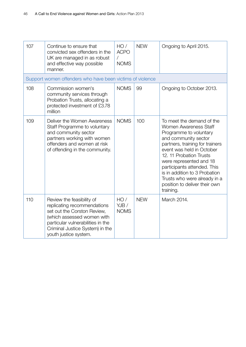| 107 | Continue to ensure that<br>convicted sex offenders in the<br>UK are managed in as robust<br>and effective way possible<br>manner.                                                                                      | HO/<br><b>ACPO</b><br>$\sqrt{2}$<br><b>NOMS</b> | <b>NEW</b> | Ongoing to April 2015.                                                                                                                                                                                                                                                                                                                                                          |
|-----|------------------------------------------------------------------------------------------------------------------------------------------------------------------------------------------------------------------------|-------------------------------------------------|------------|---------------------------------------------------------------------------------------------------------------------------------------------------------------------------------------------------------------------------------------------------------------------------------------------------------------------------------------------------------------------------------|
|     | Support women offenders who have been victims of violence                                                                                                                                                              |                                                 |            |                                                                                                                                                                                                                                                                                                                                                                                 |
| 108 | Commission women's<br>community services through<br>Probation Trusts, allocating a<br>protected investment of £3.78<br>million                                                                                         | <b>NOMS</b>                                     | 99         | Ongoing to October 2013.                                                                                                                                                                                                                                                                                                                                                        |
| 109 | Deliver the Women Awareness<br>Staff Programme to voluntary<br>and community sector<br>partners working with women<br>offenders and women at risk<br>of offending in the community.                                    | <b>NOMS</b>                                     | 100        | To meet the demand of the<br><b>Women Awareness Staff</b><br>Programme to voluntary<br>and community sector<br>partners, training for trainers<br>event was held in October<br>12. 11 Probation Trusts<br>were represented and 18<br>participants attended. This<br>is in addition to 3 Probation<br>Trusts who were already in a<br>position to deliver their own<br>training. |
| 110 | Review the feasibility of<br>replicating recommendations<br>set out the Corston Review,<br>(which assessed women with<br>particular vulnerabilities in the<br>Criminal Justice System) in the<br>youth justice system. | HO/<br>YJB/<br><b>NOMS</b>                      | <b>NEW</b> | March 2014.                                                                                                                                                                                                                                                                                                                                                                     |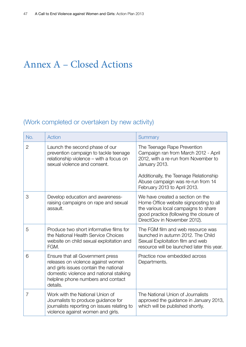# Annex A – Closed Actions

### (Work completed or overtaken by new activity)

| No.            | Action                                                                                                                                                                                                       | Summary                                                                                                                                                                                       |
|----------------|--------------------------------------------------------------------------------------------------------------------------------------------------------------------------------------------------------------|-----------------------------------------------------------------------------------------------------------------------------------------------------------------------------------------------|
| $\overline{2}$ | Launch the second phase of our<br>prevention campaign to tackle teenage<br>relationship violence - with a focus on<br>sexual violence and consent.                                                           | The Teenage Rape Prevention<br>Campaign ran from March 2012 - April<br>2012, with a re-run from November to<br>January 2013.<br>Additionally, the Teenage Relationship                        |
|                |                                                                                                                                                                                                              | Abuse campaign was re-run from 14<br>February 2013 to April 2013.                                                                                                                             |
| 3              | Develop education and awareness-<br>raising campaigns on rape and sexual<br>assault.                                                                                                                         | We have created a section on the<br>Home Office website signposting to all<br>the various local campaigns to share<br>good practice (following the closure of<br>DirectGov in November 2012). |
| 5              | Produce two short informative films for<br>the National Health Service Choices<br>website on child sexual exploitation and<br>FGM.                                                                           | The FGM film and web resource was<br>launched in autumn 2012. The Child<br>Sexual Exploitation film and web<br>resource will be launched later this year.                                     |
| 6              | Ensure that all Government press<br>releases on violence against women<br>and girls issues contain the national<br>domestic violence and national stalking<br>helpline phone numbers and contact<br>details. | Practice now embedded across<br>Departments.                                                                                                                                                  |
| $\overline{7}$ | Work with the National Union of<br>Journalists to produce guidance for<br>journalists reporting on issues relating to<br>violence against women and girls.                                                   | The National Union of Journalists<br>approved the guidance in January 2013,<br>which will be published shortly.                                                                               |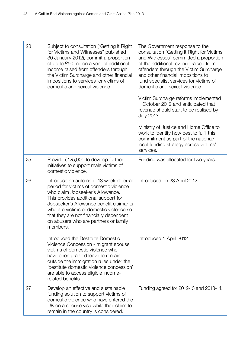| 23 | Subject to consultation ("Getting it Right<br>for Victims and Witnesses" published<br>30 January 2012), commit a proportion<br>of up to £50 million a year of additional<br>income raised from offenders through<br>the Victim Surcharge and other financial<br>impositions to services for victims of<br>domestic and sexual violence.              | The Government response to the<br>consultation "Getting it Right for Victims<br>and Witnesses" committed a proportion<br>of the additional revenue raised from<br>offenders through the Victim Surcharge<br>and other financial impositions to<br>fund specialist services for victims of<br>domestic and sexual violence.<br>Victim Surcharge reforms implemented<br>1 October 2012 and anticipated that<br>revenue should start to be realised by<br>July 2013.<br>Ministry of Justice and Home Office to<br>work to identify how best to fulfil this<br>commitment as part of the national/<br>local funding strategy across victims'<br>services. |
|----|------------------------------------------------------------------------------------------------------------------------------------------------------------------------------------------------------------------------------------------------------------------------------------------------------------------------------------------------------|-------------------------------------------------------------------------------------------------------------------------------------------------------------------------------------------------------------------------------------------------------------------------------------------------------------------------------------------------------------------------------------------------------------------------------------------------------------------------------------------------------------------------------------------------------------------------------------------------------------------------------------------------------|
| 25 | Provide £125,000 to develop further<br>initiatives to support male victims of<br>domestic violence.                                                                                                                                                                                                                                                  | Funding was allocated for two years.                                                                                                                                                                                                                                                                                                                                                                                                                                                                                                                                                                                                                  |
| 26 | Introduce an automatic 13 week deferral<br>period for victims of domestic violence<br>who claim Jobseeker's Allowance.<br>This provides additional support for<br>Jobseeker's Allowance benefit claimants<br>who are victims of domestic violence so<br>that they are not financially dependent<br>on abusers who are partners or family<br>members. | Introduced on 23 April 2012.                                                                                                                                                                                                                                                                                                                                                                                                                                                                                                                                                                                                                          |
|    | Introduced the Destitute Domestic<br>Violence Concession - migrant spouse<br>victims of domestic violence who<br>have been granted leave to remain<br>outside the immigration rules under the<br>'destitute domestic violence concession'<br>are able to access eligible income-<br>related benefits.                                                | Introduced 1 April 2012                                                                                                                                                                                                                                                                                                                                                                                                                                                                                                                                                                                                                               |
| 27 | Develop an effective and sustainable<br>funding solution to support victims of<br>domestic violence who have entered the<br>UK on a spouse visa while their claim to<br>remain in the country is considered.                                                                                                                                         | Funding agreed for 2012-13 and 2013-14.                                                                                                                                                                                                                                                                                                                                                                                                                                                                                                                                                                                                               |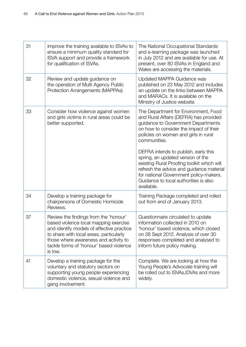| 31 | Improve the training available to ISVAs to<br>ensure a minimum quality standard for<br>ISVA support and provide a framework<br>for qualification of ISVAs.                                                                                                            | The National Occupational Standards<br>and e-learning package was launched<br>in July 2012 and are available for use. At<br>present, over 80 ISVAs in England and<br>Wales are accessing the materials.                                                                                                                                                                                                                                                                                        |
|----|-----------------------------------------------------------------------------------------------------------------------------------------------------------------------------------------------------------------------------------------------------------------------|------------------------------------------------------------------------------------------------------------------------------------------------------------------------------------------------------------------------------------------------------------------------------------------------------------------------------------------------------------------------------------------------------------------------------------------------------------------------------------------------|
| 32 | Review and update guidance on<br>the operation of Multi Agency Public<br>Protection Arrangements (MAPPAs).                                                                                                                                                            | Updated MAPPA Guidance was<br>published on 23 May 2012 and includes<br>an update on the links between MAPPA<br>and MARACs. It is available on the<br>Ministry of Justice website.                                                                                                                                                                                                                                                                                                              |
| 33 | Consider how violence against women<br>and girls victims in rural areas could be<br>better supported.                                                                                                                                                                 | The Department for Environment, Food<br>and Rural Affairs (DEFRA) has provided<br>guidance to Government Departments<br>on how to consider the impact of their<br>policies on women and girls in rural<br>communities.<br>DEFRA intends to publish, early this<br>spring, an updated version of the<br>existing Rural Proofing toolkit which will<br>refresh the advice and guidance material<br>for national Government policy-makers.<br>Guidance to local authorities is also<br>available. |
| 34 | Develop a training package for<br>chairpersons of Domestic Homicide<br>Reviews.                                                                                                                                                                                       | Training Package completed and rolled<br>out from end of January 2013.                                                                                                                                                                                                                                                                                                                                                                                                                         |
| 37 | Review the findings from the 'honour'<br>based violence local mapping exercise<br>and identify models of effective practice<br>to share with local areas, particularly<br>those where awareness and activity to<br>tackle forms of 'honour' based violence<br>is low. | Questionnaire circulated to update<br>information collected in 2010 on<br>'honour' based violence, which closed<br>on 28 Sept 2012. Analysis of over 30<br>responses completed and analysed to<br>inform future policy making.                                                                                                                                                                                                                                                                 |
| 41 | Develop a training package for the<br>voluntary and statutory sectors on<br>supporting young people experiencing<br>domestic violence, sexual violence and<br>gang involvement.                                                                                       | Complete. We are looking at how the<br>Young People's Advocate training will<br>be rolled out to ISVAs, IDVAs and more<br>widely.                                                                                                                                                                                                                                                                                                                                                              |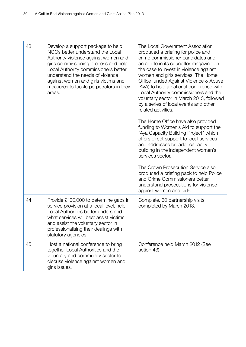| 43 | Develop a support package to help<br>NGOs better understand the Local<br>Authority violence against women and<br>girls commissioning process and help<br>Local Authority commissioners better<br>understand the needs of violence<br>against women and girls victims and<br>measures to tackle perpetrators in their<br>areas. | The Local Government Association<br>produced a briefing for police and<br>crime commissioner candidates and<br>an article in its councillor magazine on<br>the case to invest in violence against<br>women and girls services. The Home<br>Office funded Against Violence & Abuse<br>(AVA) to hold a national conference with<br>Local Authority commissioners and the<br>voluntary sector in March 2013, followed<br>by a series of local events and other<br>related activities.<br>The Home Office have also provided<br>funding to Women's Aid to support the<br>"Aya Capacity Building Project" which<br>offers direct support to local services<br>and addresses broader capacity<br>building in the independent women's<br>services sector.<br>The Crown Prosecution Service also<br>produced a briefing pack to help Police<br>and Crime Commissioners better |
|----|--------------------------------------------------------------------------------------------------------------------------------------------------------------------------------------------------------------------------------------------------------------------------------------------------------------------------------|-----------------------------------------------------------------------------------------------------------------------------------------------------------------------------------------------------------------------------------------------------------------------------------------------------------------------------------------------------------------------------------------------------------------------------------------------------------------------------------------------------------------------------------------------------------------------------------------------------------------------------------------------------------------------------------------------------------------------------------------------------------------------------------------------------------------------------------------------------------------------|
|    |                                                                                                                                                                                                                                                                                                                                | understand prosecutions for violence<br>against women and girls.                                                                                                                                                                                                                                                                                                                                                                                                                                                                                                                                                                                                                                                                                                                                                                                                      |
| 44 | Provide £100,000 to determine gaps in<br>service provision at a local level, help<br>Local Authorities better understand<br>what services will best assist victims<br>and assist the voluntary sector in<br>professionalising their dealings with<br>statutory agencies.                                                       | Complete. 30 partnership visits<br>completed by March 2013.                                                                                                                                                                                                                                                                                                                                                                                                                                                                                                                                                                                                                                                                                                                                                                                                           |
| 45 | Host a national conference to bring<br>together Local Authorities and the<br>voluntary and community sector to<br>discuss violence against women and<br>girls issues.                                                                                                                                                          | Conference held March 2012 (See<br>action 43)                                                                                                                                                                                                                                                                                                                                                                                                                                                                                                                                                                                                                                                                                                                                                                                                                         |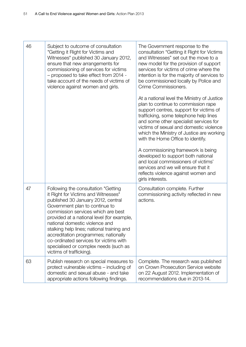| 46 | Subject to outcome of consultation<br>"Getting it Right for Victims and<br>Witnesses" published 30 January 2012,<br>ensure that new arrangements for<br>commissioning of services for victims<br>- proposed to take effect from 2014 -<br>take account of the needs of victims of<br>violence against women and girls.                                                                                                                                                        | The Government response to the<br>consultation "Getting it Right for Victims<br>and Witnesses" set out the move to a<br>new model for the provision of support<br>services for victims of crime where the<br>intention is for the majority of services to<br>be commissioned locally by Police and<br>Crime Commissioners.<br>At a national level the Ministry of Justice<br>plan to continue to commission rape<br>support centres, support for victims of<br>trafficking, some telephone help lines<br>and some other specialist services for<br>victims of sexual and domestic violence<br>which the Ministry of Justice are working<br>with the Home Office to identify.<br>A commissioning framework is being<br>developed to support both national<br>and local commissioners of victims'<br>services and we will ensure that it<br>reflects violence against women and<br>girls interests. |
|----|-------------------------------------------------------------------------------------------------------------------------------------------------------------------------------------------------------------------------------------------------------------------------------------------------------------------------------------------------------------------------------------------------------------------------------------------------------------------------------|---------------------------------------------------------------------------------------------------------------------------------------------------------------------------------------------------------------------------------------------------------------------------------------------------------------------------------------------------------------------------------------------------------------------------------------------------------------------------------------------------------------------------------------------------------------------------------------------------------------------------------------------------------------------------------------------------------------------------------------------------------------------------------------------------------------------------------------------------------------------------------------------------|
| 47 | Following the consultation "Getting<br>it Right for Victims and Witnesses"<br>published 30 January 2012, central<br>Government plan to continue to<br>commission services which are best<br>provided at a national level (for example,<br>national domestic violence and<br>stalking help lines; national training and<br>accreditation programmes; nationally<br>co-ordinated services for victims with<br>specialised or complex needs (such as<br>victims of trafficking). | Consultation complete. Further<br>commissioning activity reflected in new<br>actions.                                                                                                                                                                                                                                                                                                                                                                                                                                                                                                                                                                                                                                                                                                                                                                                                             |
| 63 | Publish research on special measures to<br>protect vulnerable victims – including of<br>domestic and sexual abuse - and take<br>appropriate actions following findings.                                                                                                                                                                                                                                                                                                       | Complete. The research was published<br>on Crown Prosecution Service website<br>on 22 August 2012. Implementation of<br>recommendations due in 2013-14.                                                                                                                                                                                                                                                                                                                                                                                                                                                                                                                                                                                                                                                                                                                                           |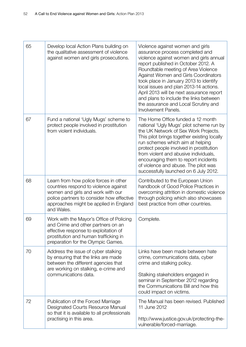| 65 | Develop local Action Plans building on<br>the qualitative assessment of violence<br>against women and girls prosecutions.                                                                                                | Violence against women and girls<br>assurance process completed and<br>violence against women and girls annual<br>report published in October 2012. A<br>Roundtable meeting of Area Violence<br>Against Women and Girls Coordinators<br>took place in January 2013 to identify<br>local issues and plan 2013-14 actions.<br>April 2013 will be next assurance report<br>and plans to include the links between<br>the assurance and Local Scrutiny and<br>Involvement Panels. |
|----|--------------------------------------------------------------------------------------------------------------------------------------------------------------------------------------------------------------------------|-------------------------------------------------------------------------------------------------------------------------------------------------------------------------------------------------------------------------------------------------------------------------------------------------------------------------------------------------------------------------------------------------------------------------------------------------------------------------------|
| 67 | Fund a national 'Ugly Mugs' scheme to<br>protect people involved in prostitution<br>from violent individuals.                                                                                                            | The Home Office funded a 12 month<br>national 'Ugly Mugs' pilot scheme run by<br>the UK Network of Sex Work Projects.<br>This pilot brings together existing locally<br>run schemes which aim at helping<br>protect people involved in prostitution<br>from violent and abusive individuals,<br>encouraging them to report incidents<br>of violence and abuse. The pilot was<br>successfully launched on 6 July 2012.                                                         |
| 68 | Learn from how police forces in other<br>countries respond to violence against<br>women and girls and work with our<br>police partners to consider how effective<br>approaches might be applied in England<br>and Wales. | Contributed to the European Union<br>handbook of Good Police Practices in<br>overcoming attrition in domestic violence<br>through policing which also showcases<br>best practice from other countries.                                                                                                                                                                                                                                                                        |
| 69 | Work with the Mayor's Office of Policing<br>and Crime and other partners on an<br>effective response to exploitation of<br>prostitution and human trafficking in<br>preparation for the Olympic Games.                   | Complete.                                                                                                                                                                                                                                                                                                                                                                                                                                                                     |
| 70 | Address the issue of cyber stalking<br>by ensuring that the links are made<br>between the different agencies that<br>are working on stalking, e-crime and<br>communications data.                                        | Links have been made between hate<br>crime, communications data, cyber<br>crime and stalking policy.<br>Stalking stakeholders engaged in<br>seminar in September 2012 regarding<br>the Communications Bill and how this<br>could impact on victims.                                                                                                                                                                                                                           |
| 72 | Publication of the Forced Marriage<br>Designated Courts Resource Manual<br>so that it is available to all professionals<br>practising in this area.                                                                      | The Manual has been revised. Published<br>11 June 2012<br>http://www.justice.gov.uk/protecting-the-<br>vulnerable/forced-marriage.                                                                                                                                                                                                                                                                                                                                            |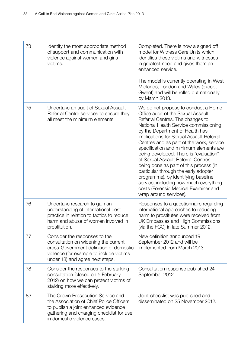| 73 | Identify the most appropriate method<br>of support and communication with<br>violence against women and girls<br>victims.                                                                        | Completed. There is now a signed off<br>model for Witness Care Units which<br>identifies those victims and witnesses<br>in greatest need and gives them an<br>enhanced service.<br>The model is currently operating in West<br>Midlands, London and Wales (except<br>Gwent) and will be rolled out nationally<br>by March 2013.                                                                                                                                                                                                                                                                                                                  |
|----|--------------------------------------------------------------------------------------------------------------------------------------------------------------------------------------------------|--------------------------------------------------------------------------------------------------------------------------------------------------------------------------------------------------------------------------------------------------------------------------------------------------------------------------------------------------------------------------------------------------------------------------------------------------------------------------------------------------------------------------------------------------------------------------------------------------------------------------------------------------|
| 75 | Undertake an audit of Sexual Assault<br>Referral Centre services to ensure they<br>all meet the minimum elements.                                                                                | We do not propose to conduct a Home<br>Office audit of the Sexual Assault<br>Referral Centres. The changes to<br>National Health Service commissioning<br>by the Department of Health has<br>implications for Sexual Assault Referral<br>Centres and as part of the work, service<br>specification and minimum elements are<br>being developed. There is "evaluation"<br>of Sexual Assault Referral Centres<br>being done as part of this process (in<br>particular through the early adopter<br>programme), by identifying baseline<br>service, including how much everything<br>costs (Forensic Medical Examiner and<br>wrap around services). |
| 76 | Undertake research to gain an<br>understanding of international best<br>practice in relation to tactics to reduce<br>harm and abuse of women involved in<br>prostitution.                        | Responses to a questionnaire regarding<br>international approaches to reducing<br>harm to prostitutes were received from<br>UK Embassies and High Commissions<br>(via the FCO) in late Summer 2012.                                                                                                                                                                                                                                                                                                                                                                                                                                              |
| 77 | Consider the responses to the<br>consultation on widening the current<br>cross-Government definition of domestic<br>violence (for example to include victims<br>under 18) and agree next steps.  | New definition announced 19<br>September 2012 and will be<br>implemented from March 2013.                                                                                                                                                                                                                                                                                                                                                                                                                                                                                                                                                        |
| 78 | Consider the responses to the stalking<br>consultation (closed on 5 February<br>2012) on how we can protect victims of<br>stalking more effectively.                                             | Consultation response published 24<br>September 2012.                                                                                                                                                                                                                                                                                                                                                                                                                                                                                                                                                                                            |
| 83 | The Crown Prosecution Service and<br>the Association of Chief Police Officers<br>to publish a joint enhanced evidence<br>gathering and charging checklist for use<br>in domestic violence cases. | Joint-checklist was published and<br>disseminated on 25 November 2012.                                                                                                                                                                                                                                                                                                                                                                                                                                                                                                                                                                           |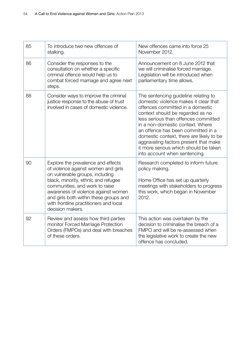| 85 | To introduce two new offences of<br>stalking.                                                                                                                                                                                                                                                                                        | New offences came into force 25<br>November 2012.                                                                                                                                                                                                                                                                                                                                                                                      |
|----|--------------------------------------------------------------------------------------------------------------------------------------------------------------------------------------------------------------------------------------------------------------------------------------------------------------------------------------|----------------------------------------------------------------------------------------------------------------------------------------------------------------------------------------------------------------------------------------------------------------------------------------------------------------------------------------------------------------------------------------------------------------------------------------|
| 86 | Consider the responses to the<br>consultation on whether a specific<br>criminal offence would help us to<br>combat forced marriage and agree next<br>steps.                                                                                                                                                                          | Announcement on 8 June 2012 that<br>we will criminalise forced marriage.<br>Legislation will be introduced when<br>parliamentary time allows.                                                                                                                                                                                                                                                                                          |
| 88 | Consider ways to improve the criminal<br>justice response to the abuse of trust<br>involved in cases of domestic violence.                                                                                                                                                                                                           | The sentencing guideline relating to<br>domestic violence makes it clear that<br>offences committed in a domestic<br>context should be regarded as no<br>less serious than offences committed<br>in a non-domestic context. Where<br>an offence has been committed in a<br>domestic context, there are likely to be<br>aggravating factors present that make<br>it more serious which should be taken<br>into account when sentencing. |
| 90 | Explore the prevalence and effects<br>of violence against women and girls<br>on vulnerable groups, including<br>black, minority, ethnic and refugee<br>communities, and work to raise<br>awareness of violence against women<br>and girls both within these groups and<br>with frontline practitioners and local<br>decision makers. | Research completed to inform future<br>policy making.<br>Home Office has set up quarterly<br>meetings with stakeholders to progress<br>this work, which began in November<br>2012.                                                                                                                                                                                                                                                     |
| 92 | Review and assess how third parties<br>monitor Forced Marriage Protection<br>Orders (FMPOs) and deal with breaches<br>of these orders.                                                                                                                                                                                               | This action was overtaken by the<br>decision to criminalise the breach of a<br>FMPO and will be re-assessed when<br>the legislative work to create the new<br>offence has concluded.                                                                                                                                                                                                                                                   |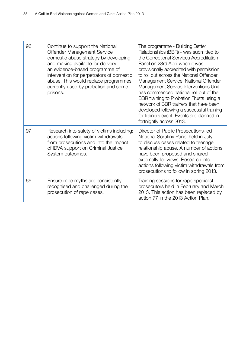| 96 | Continue to support the National<br>Offender Management Service<br>domestic abuse strategy by developing<br>and making available for delivery<br>an evidence-based programme of<br>intervention for perpetrators of domestic<br>abuse. This would replace programmes<br>currently used by probation and some<br>prisons. | The programme - Building Better<br>Relationships (BBR) - was submitted to<br>the Correctional Services Accreditation<br>Panel on 23rd April when it was<br>provisionally accredited with permission<br>to roll out across the National Offender<br>Management Service. National Offender<br>Management Service Interventions Unit<br>has commenced national roll out of the<br>BBR training to Probation Trusts using a<br>network of BBR trainers that have been<br>developed following a successful training<br>for trainers event. Events are planned in<br>fortnightly across 2013. |
|----|--------------------------------------------------------------------------------------------------------------------------------------------------------------------------------------------------------------------------------------------------------------------------------------------------------------------------|-----------------------------------------------------------------------------------------------------------------------------------------------------------------------------------------------------------------------------------------------------------------------------------------------------------------------------------------------------------------------------------------------------------------------------------------------------------------------------------------------------------------------------------------------------------------------------------------|
| 97 | Research into safety of victims including:<br>actions following victim withdrawals<br>from prosecutions and into the impact<br>of IDVA support on Criminal Justice<br>System outcomes.                                                                                                                                   | Director of Public Prosecutions-led<br>National Scrutiny Panel held in July<br>to discuss cases related to teenage<br>relationship abuse. A number of actions<br>have been proposed and shared<br>externally for views. Research into<br>actions following victim withdrawals from<br>prosecutions to follow in spring 2013.                                                                                                                                                                                                                                                            |
| 66 | Ensure rape myths are consistently<br>recognised and challenged during the<br>prosecution of rape cases.                                                                                                                                                                                                                 | Training sessions for rape specialist<br>prosecutors held in February and March<br>2013. This action has been replaced by<br>action 77 in the 2013 Action Plan.                                                                                                                                                                                                                                                                                                                                                                                                                         |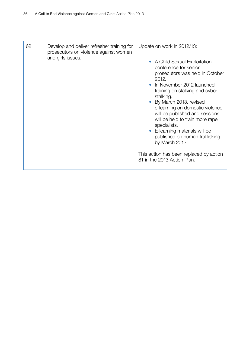| 62 | Develop and deliver refresher training for<br>prosecutors on violence against women<br>and girls issues. | Update on work in 2012/13:<br>• A Child Sexual Exploitation<br>conference for senior<br>prosecutors was held in October                                                                                                                                                                                                                                                                             |
|----|----------------------------------------------------------------------------------------------------------|-----------------------------------------------------------------------------------------------------------------------------------------------------------------------------------------------------------------------------------------------------------------------------------------------------------------------------------------------------------------------------------------------------|
|    |                                                                                                          | 2012.<br>In November 2012 launched<br>training on stalking and cyber<br>stalking.<br>By March 2013, revised<br>e-learning on domestic violence<br>will be published and sessions<br>will be held to train more rape<br>specialists.<br>• E-learning materials will be<br>published on human trafficking<br>by March 2013.<br>This action has been replaced by action<br>81 in the 2013 Action Plan. |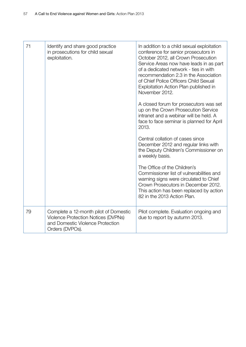| 71 | Identify and share good practice<br>in prosecutions for child sexual<br>exploitation.                                               | In addition to a child sexual exploitation<br>conference for senior prosecutors in<br>October 2012, all Crown Prosecution<br>Service Areas now have leads in as part<br>of a dedicated network - ties in with<br>recommendation 2.3 in the Association<br>of Chief Police Officers Child Sexual<br>Exploitation Action Plan published in<br>November 2012.<br>A closed forum for prosecutors was set<br>up on the Crown Prosecution Service<br>intranet and a webinar will be held. A |
|----|-------------------------------------------------------------------------------------------------------------------------------------|---------------------------------------------------------------------------------------------------------------------------------------------------------------------------------------------------------------------------------------------------------------------------------------------------------------------------------------------------------------------------------------------------------------------------------------------------------------------------------------|
|    |                                                                                                                                     | face to face seminar is planned for April<br>2013.                                                                                                                                                                                                                                                                                                                                                                                                                                    |
|    |                                                                                                                                     | Central collation of cases since<br>December 2012 and regular links with<br>the Deputy Children's Commissioner on<br>a weekly basis.                                                                                                                                                                                                                                                                                                                                                  |
|    |                                                                                                                                     | The Office of the Children's<br>Commissioner list of vulnerabilities and<br>warning signs were circulated to Chief<br>Crown Prosecutors in December 2012.<br>This action has been replaced by action<br>82 in the 2013 Action Plan.                                                                                                                                                                                                                                                   |
| 79 | Complete a 12-month pilot of Domestic<br>Violence Protection Notices (DVPNs)<br>and Domestic Violence Protection<br>Orders (DVPOs). | Pilot complete. Evaluation ongoing and<br>due to report by autumn 2013.                                                                                                                                                                                                                                                                                                                                                                                                               |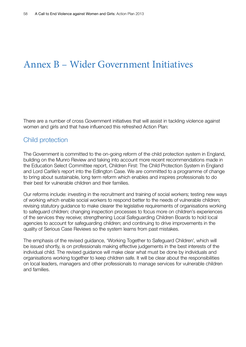### Annex B – Wider Government Initiatives

There are a number of cross Government initiatives that will assist in tackling violence against women and girls and that have influenced this refreshed Action Plan:

#### Child protection

The Government is committed to the on-going reform of the child protection system in England, building on the Munro Review and taking into account more recent recommendations made in the Education Select Committee report, Children First: The Child Protection System in England and Lord Carlile's report into the Edlington Case. We are committed to a programme of change to bring about sustainable, long term reform which enables and inspires professionals to do their best for vulnerable children and their families.

Our reforms include: investing in the recruitment and training of social workers; testing new ways of working which enable social workers to respond better to the needs of vulnerable children; revising statutory guidance to make clearer the legislative requirements of organisations working to safeguard children; changing inspection processes to focus more on children's experiences of the services they receive; strengthening Local Safeguarding Children Boards to hold local agencies to account for safeguarding children; and continuing to drive improvements in the quality of Serious Case Reviews so the system learns from past mistakes.

The emphasis of the revised guidance, 'Working Together to Safeguard Children', which will be issued shortly, is on professionals making effective judgements in the best interests of the individual child. The revised guidance will make clear what must be done by individuals and organisations working together to keep children safe. It will be clear about the responsibilities on local leaders, managers and other professionals to manage services for vulnerable children and families.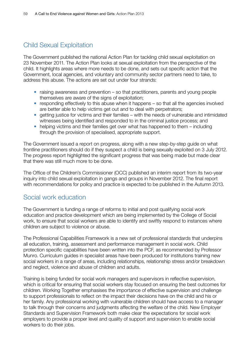#### Child Sexual Exploitation

The Government published the national Action Plan for tackling child sexual exploitation on 23 November 2011. The Action Plan looks at sexual exploitation from the perspective of the child. It highlights areas where more needs to be done, and sets out specific action that the Government, local agencies, and voluntary and community sector partners need to take, to address this abuse. The actions are set out under four strands:

- raising awareness and prevention so that practitioners, parents and young people themselves are aware of the signs of exploitation;
- responding effectively to this abuse when it happens so that all the agencies involved are better able to help victims get out and to deal with perpetrators;
- getting justice for victims and their families with the needs of vulnerable and intimidated witnesses being identified and responded to in the criminal justice process; and
- helping victims and their families get over what has happened to them including through the provision of specialised, appropriate support.

The Government issued a report on progress, along with a new step-by-step guide on what frontline practitioners should do if they suspect a child is being sexually exploited on 3 July 2012. The progress report highlighted the significant progress that was being made but made clear that there was still much more to be done.

The Office of the Children's Commissioner (OCC) published an interim report from its two-year inquiry into child sexual exploitation in gangs and groups in November 2012. The final report with recommendations for policy and practice is expected to be published in the Autumn 2013.

#### Social work education

The Government is funding a range of reforms to initial and post qualifying social work education and practice development which are being implemented by the College of Social work, to ensure that social workers are able to identify and swiftly respond to instances where children are subject to violence or abuse.

The Professional Capabilities Framework is a new set of professional standards that underpins all education, training, assessment and performance management in social work. Child protection specific capabilities have been written into the PCF, as recommended by Professor Munro. Curriculum guides in specialist areas have been produced for institutions training new social workers in a range of areas, including relationships, relationship stress and/or breakdown and neglect, violence and abuse of children and adults.

Training is being funded for social work managers and supervisors in reflective supervision, which is critical for ensuring that social workers stay focused on ensuring the best outcomes for children. Working Together emphasises the importance of effective supervision and challenge to support professionals to reflect on the impact their decisions have on the child and his or her family. Any professional working with vulnerable children should have access to a manager to talk through their concerns and judgments affecting the welfare of the child. New Employer Standards and Supervision Framework both make clear the expectations for social work employers to provide a proper level and quality of support and supervision to enable social workers to do their jobs.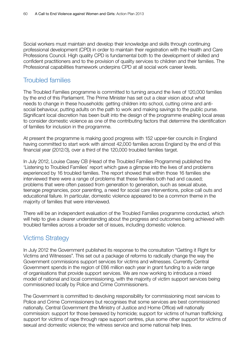Social workers must maintain and develop their knowledge and skills through continuing professional development (CPD) in order to maintain their registration with the Health and Care Professions Council. High quality CPD is fundamental both to the development of skilled and confident practitioners and to the provision of quality services to children and their families. The Professional capabilities framework underpins CPD at all social work career levels.

#### Troubled families

The Troubled Families programme is committed to turning around the lives of 120,000 families by the end of this Parliament. The Prime Minister has set out a clear vision about what needs to change in these households: getting children into school, cutting crime and antisocial behaviour, putting adults on the path to work and making savings to the public purse. Significant local discretion has been built into the design of the programme enabling local areas to consider domestic violence as one of the contributing factors that determine the identification of families for inclusion in the programme.

At present the programme is making good progress with 152 upper-tier councils in England having committed to start work with almost 42,000 families across England by the end of this financial year (2012/3), over a third of the 120,000 troubled families target.

In July 2012, Louise Casey CB (Head of the Troubled Families Programme) published the 'Listening to Troubled Families' report which gave a glimpse into the lives of and problems experienced by 16 troubled families. The report showed that within those 16 families she interviewed there were a range of problems that these families both had and caused; problems that were often passed from generation to generation, such as sexual abuse, teenage pregnancies, poor parenting, a need for social care interventions, police call outs and educational failure. In particular, domestic violence appeared to be a common theme in the majority of families that were interviewed.

There will be an independent evaluation of the Troubled Families programme conducted, which will help to give a clearer understanding about the progress and outcomes being achieved with troubled families across a broader set of issues, including domestic violence.

#### Victims Strategy

In July 2012 the Government published its response to the consultation "Getting it Right for Victims and Witnesses". This set out a package of reforms to radically change the way the Government commissions support services for victims and witnesses. Currently Central Government spends in the region of £66 million each year in grant funding to a wide range of organisations that provide support services. We are now working to introduce a mixed model of national and local commissioning, with the majority of victim support services being commissioned locally by Police and Crime Commissioners.

The Government is committed to devolving responsibility for commissioning most services to Police and Crime Commissioners but recognises that some services are best commissioned nationally. Central Government (the Ministry of Justice and Home Office) will nationally commission: support for those bereaved by homicide; support for victims of human trafficking; support for victims of rape through rape support centres, plus some other support for victims of sexual and domestic violence; the witness service and some national help lines.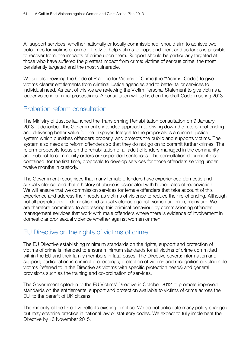All support services, whether nationally or locally commissioned, should aim to achieve two outcomes for victims of crime – firstly to help victims to cope and then, and as far as is possible, to recover from, the impacts of crime upon them. Support should be particularly targeted at those who have suffered the greatest impact from crime: victims of serious crime, the most persistently targeted and the most vulnerable.

We are also revising the Code of Practice for Victims of Crime (the "Victims' Code") to give victims clearer entitlements from criminal justice agencies and to better tailor services to individual need. As part of this we are reviewing the Victim Personal Statement to give victims a louder voice in criminal proceedings. A consultation will be held on the draft Code in spring 2013.

#### Probation reform consultation

The Ministry of Justice launched the Transforming Rehabilitation consultation on 9 January 2013. It described the Government's intended approach to driving down the rate of reoffending and delivering better value for the taxpayer. Integral to the proposals is a criminal justice system which punishes offenders properly, and protects the public and supports victims. The system also needs to reform offenders so that they do not go on to commit further crimes. The reform proposals focus on the rehabilitation of all adult offenders managed in the community and subject to community orders or suspended sentences. The consultation document also contained, for the first time, proposals to develop services for those offenders serving under twelve months in custody.

The Government recognises that many female offenders have experienced domestic and sexual violence, and that a history of abuse is associated with higher rates of reconviction. We will ensure that we commission services for female offenders that take account of this experience and address their needs as victims of violence to reduce their re-offending. Although not all perpetrators of domestic and sexual violence against women are men, many are. We are therefore committed to addressing this criminal behaviour by commissioning offender management services that work with male offenders where there is evidence of involvement in domestic and/or sexual violence whether against women or men.

#### EU Directive on the rights of victims of crime

The EU Directive establishing minimum standards on the rights, support and protection of victims of crime is intended to ensure minimum standards for all victims of crime committed within the EU and their family members in fatal cases. The Directive covers: information and support; participation in criminal proceedings; protection of victims and recognition of vulnerable victims (referred to in the Directive as victims with specific protection needs) and general provisions such as the training and co-ordination of services.

The Government opted-in to the EU Victims' Directive in October 2012 to promote improved standards on the entitlements, support and protection available to victims of crime across the EU, to the benefit of UK citizens.

The majority of the Directive reflects existing practice. We do not anticipate many policy changes but may enshrine practice in national law or statutory codes. We expect to fully implement the Directive by 16 November 2015.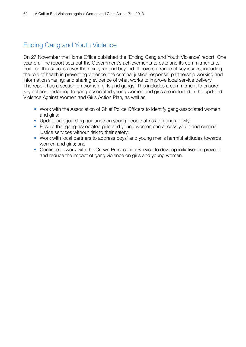#### Ending Gang and Youth Violence

On 27 November the Home Office published the 'Ending Gang and Youth Violence' report: One year on. The report sets out the Government's achievements to date and its commitments to build on this success over the next year and beyond. It covers a range of key issues, including the role of health in preventing violence; the criminal justice response; partnership working and information sharing; and sharing evidence of what works to improve local service delivery. The report has a section on women, girls and gangs. This includes a commitment to ensure key actions pertaining to gang-associated young women and girls are included in the updated Violence Against Women and Girls Action Plan, as well as:

- Work with the Association of Chief Police Officers to identify gang-associated women and girls;
- Update safeguarding guidance on young people at risk of gang activity;
- Ensure that gang-associated girls and young women can access youth and criminal justice services without risk to their safety;
- Work with local partners to address boys' and young men's harmful attitudes towards women and girls; and
- Continue to work with the Crown Prosecution Service to develop initiatives to prevent and reduce the impact of gang violence on girls and young women.